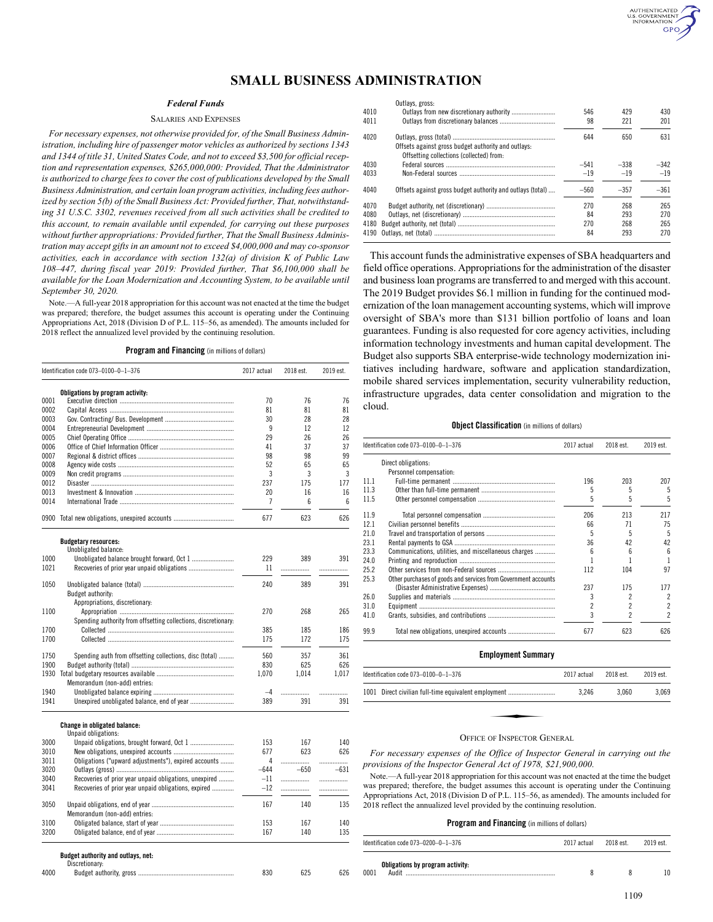# **SMALL BUSINESS ADMINISTRATION**

# *Federal Funds*

### SALARIES AND EXPENSES

*For necessary expenses, not otherwise provided for, of the Small Business Administration, including hire of passenger motor vehicles as authorized by sections 1343 and 1344 of title 31, United States Code, and not to exceed \$3,500 for official reception and representation expenses, \$265,000,000: Provided, That the Administrator is authorized to charge fees to cover the cost of publications developed by the Small Business Administration, and certain loan program activities, including fees authorized by section 5(b) of the Small Business Act: Provided further, That, notwithstanding 31 U.S.C. 3302, revenues received from all such activities shall be credited to this account, to remain available until expended, for carrying out these purposes without further appropriations: Provided further, That the Small Business Administration may accept gifts in an amount not to exceed \$4,000,000 and may co-sponsor activities, each in accordance with section 132(a) of division K of Public Law 108–447, during fiscal year 2019: Provided further, That \$6,100,000 shall be available for the Loan Modernization and Accounting System, to be available until September 30, 2020.*

Note.—A full-year 2018 appropriation for this account was not enacted at the time the budget was prepared; therefore, the budget assumes this account is operating under the Continuing Appropriations Act, 2018 (Division D of P.L. 115–56, as amended). The amounts included for 2018 reflect the annualized level provided by the continuing resolution.

**Program and Financing** (in millions of dollars)

|      | Identification code 073-0100-0-1-376                               |       | 2018 est. | 2019 est. |
|------|--------------------------------------------------------------------|-------|-----------|-----------|
|      | Obligations by program activity:                                   |       |           |           |
| 0001 |                                                                    | 70    | 76        | 76        |
| 0002 |                                                                    | 81    | 81        | 81        |
| 0003 |                                                                    | 30    | 28        | 28        |
| 0004 |                                                                    | 9     | 12        | 12        |
| 0005 |                                                                    | 29    | 26        | 26        |
| 0006 |                                                                    | 41    | 37        | 37        |
| 0007 |                                                                    | 98    | 98        | 99        |
| 0008 |                                                                    | 52    | 65        | 65        |
| 0009 |                                                                    | 3     | 3         | 3         |
| 0012 |                                                                    | 237   | 175       | 177       |
| 0013 |                                                                    | 20    | 16        | 16        |
| 0014 |                                                                    | 7     | 6         | 6         |
|      | 0900 Total new obligations, unexpired accounts                     |       | 623       | 626       |
|      | <b>Budgetary resources:</b>                                        |       |           |           |
| 1000 | Unobligated balance:<br>Unobligated balance brought forward, Oct 1 | 229   | 389       | 391       |
| 1021 |                                                                    | 11    |           |           |
|      |                                                                    |       | .         | .         |
| 1050 | <b>Budget authority:</b>                                           | 240   | 389       | 391       |
|      | Appropriations, discretionary:                                     |       |           |           |
| 1100 |                                                                    | 270   | 268       | 265       |
|      | Spending authority from offsetting collections, discretionary:     |       |           |           |
| 1700 |                                                                    | 385   | 185       | 186       |
| 1700 |                                                                    | 175   | 172       | 175       |
|      |                                                                    |       |           |           |
| 1750 | Spending auth from offsetting collections, disc (total)            | 560   | 357       | 361       |
| 1900 |                                                                    | 830   | 625       | 626       |
| 1930 |                                                                    | 1,070 | 1,014     | 1,017     |
|      | Memorandum (non-add) entries:                                      |       |           |           |
| 1940 |                                                                    | $-4$  |           | .         |
| 1941 |                                                                    | 389   | 391       | 391       |
|      | Change in obligated balance:                                       |       |           |           |
|      | Unpaid obligations:                                                |       |           |           |
| 3000 |                                                                    | 153   | 167       | 140       |
| 3010 |                                                                    | 677   | 623       | 626       |
| 3011 | Obligations ("upward adjustments"), expired accounts               | 4     | .         | .         |
| 3020 |                                                                    | -644  | $-650$    | $-631$    |
| 3040 | Recoveries of prior year unpaid obligations, unexpired             | $-11$ |           | .         |
| 3041 | Recoveries of prior year unpaid obligations, expired               | $-12$ |           |           |
| 3050 | Memorandum (non-add) entries:                                      | 167   | 140       | 135       |
| 3100 |                                                                    | 153   | 167       | 140       |
| 3200 |                                                                    | 167   | 140       | 135       |
|      |                                                                    |       |           |           |

4000 Budget authority, gross ......................................................... 830 625 626

|      | Outlays, gross:                                            |        |        |        |
|------|------------------------------------------------------------|--------|--------|--------|
| 4010 |                                                            | 546    | 429    | 430    |
| 4011 |                                                            | 98     | 221    | 201    |
| 4020 | Offsets against gross budget authority and outlays:        | 644    | 650    | 631    |
|      | Offsetting collections (collected) from:                   |        |        |        |
| 4030 |                                                            | $-541$ | $-338$ | $-342$ |
| 4033 |                                                            | $-19$  | $-19$  | $-19$  |
| 4040 | Offsets against gross budget authority and outlays (total) | $-560$ | $-357$ | $-361$ |
| 4070 |                                                            | 270    | 268    | 265    |
| 4080 |                                                            | 84     | 293    | 270    |
| 4180 |                                                            | 270    | 268    | 265    |
| 4190 |                                                            | 84     | 293    | 270    |

AUTHENTICATED<br>U.S. GOVERNMENT<br>INFORMATION GPO

This account funds the administrative expenses of SBA headquarters and field office operations. Appropriations for the administration of the disaster and business loan programs are transferred to and merged with this account. The 2019 Budget provides \$6.1 million in funding for the continued modernization of the loan management accounting systems, which will improve oversight of SBA's more than \$131 billion portfolio of loans and loan guarantees. Funding is also requested for core agency activities, including information technology investments and human capital development. The Budget also supports SBA enterprise-wide technology modernization initiatives including hardware, software and application standardization, mobile shared services implementation, security vulnerability reduction, infrastructure upgrades, data center consolidation and migration to the cloud.

### **Object Classification** (in millions of dollars)

|      | ldentification code 073–0100–0–1–376                           | 2017 actual | 2018 est. | 2019 est.                |  |
|------|----------------------------------------------------------------|-------------|-----------|--------------------------|--|
|      | Direct obligations:                                            |             |           |                          |  |
|      | Personnel compensation:                                        |             |           |                          |  |
| 11.1 |                                                                | 196         | 203       | 207                      |  |
| 11.3 |                                                                | 5           | 5         | 5                        |  |
| 11.5 |                                                                | 5           |           | 5                        |  |
| 11.9 |                                                                | 206         | 213       | 217                      |  |
| 12.1 |                                                                | 66          | 71        | 75                       |  |
| 21.0 |                                                                | 5           | 5         | 5                        |  |
| 23.1 |                                                                | 36          | 42        | 42                       |  |
| 23.3 | Communications, utilities, and miscellaneous charges           | ĥ           | հ         | $6\overline{6}$          |  |
| 24.0 |                                                                |             |           |                          |  |
| 25.2 |                                                                | 112         | 104       | 97                       |  |
| 25.3 | Other purchases of goods and services from Government accounts |             |           |                          |  |
|      |                                                                | 237         | 175       | 177                      |  |
| 26.0 |                                                                |             | 2         | 2                        |  |
| 31.0 |                                                                |             | 2         | $\overline{\mathbf{c}}$  |  |
| 41.0 |                                                                |             |           | $\overline{\phantom{a}}$ |  |
| 99.9 |                                                                | 677         | 623       | 626                      |  |

### **Employment Summary**

| Identification code $073-0100-0-1-376$               | 2017 actual | 2018 est. | 2019 est. |
|------------------------------------------------------|-------------|-----------|-----------|
| 1001 Direct civilian full-time equivalent employment | 3.246       | 3.060     | 3.069     |
|                                                      |             |           |           |
| <b>OFFICE OF INSPECTOR GENERAL</b>                   |             |           |           |

### OFFICE OF INSPECTOR GENERAL

*For necessary expenses of the Office of Inspector General in carrying out the provisions of the Inspector General Act of 1978, \$21,900,000.*

Note.—A full-year 2018 appropriation for this account was not enacted at the time the budget was prepared; therefore, the budget assumes this account is operating under the Continuing Appropriations Act, 2018 (Division D of P.L. 115–56, as amended). The amounts included for 2018 reflect the annualized level provided by the continuing resolution.

### **Program and Financing** (in millions of dollars)

|      | Identification code 073-0200-0-1-376                                                                                                              | 2017 actual | 2018 est. | 2019 est. |  |
|------|---------------------------------------------------------------------------------------------------------------------------------------------------|-------------|-----------|-----------|--|
| 0001 | Obligations by program activity:<br>Audit and the contract of the contract of the contract of the contract of the contract of the contract of the | я           | 8         | 10        |  |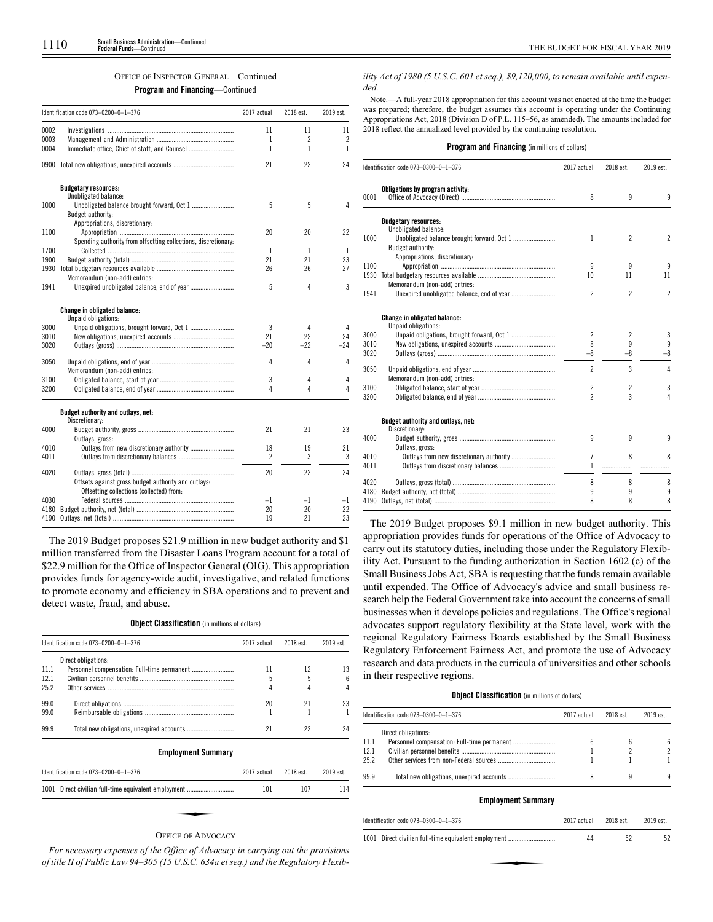### OFFICE OF INSPECTOR GENERAL—Continued

**Program and Financing**—Continued

|      | Identification code 073-0200-0-1-376                                                            | 2017 actual              | 2018 est.      | 2019 est.      |  |
|------|-------------------------------------------------------------------------------------------------|--------------------------|----------------|----------------|--|
| 0002 |                                                                                                 | 11                       | 11             | 11             |  |
| 0003 |                                                                                                 | 1                        | $\overline{c}$ | $\overline{c}$ |  |
| 0004 | Immediate office, Chief of staff, and Counsel                                                   | 1                        | $\mathbf{1}$   | 1              |  |
| 0900 |                                                                                                 | 21                       | 22             | 24             |  |
|      | <b>Budgetary resources:</b><br>Unobligated balance:                                             |                          |                |                |  |
| 1000 | Budget authority:                                                                               | 5                        | 5              | 4              |  |
|      | Appropriations, discretionary:                                                                  |                          |                |                |  |
| 1100 |                                                                                                 | 20                       | 20             | 22             |  |
|      | Spending authority from offsetting collections, discretionary:                                  |                          |                |                |  |
| 1700 |                                                                                                 | 1                        | 1              | 1              |  |
| 1900 |                                                                                                 | 21                       | 21             | 23             |  |
| 1930 |                                                                                                 | 26                       | 26             | 27             |  |
|      | Memorandum (non-add) entries:                                                                   |                          |                |                |  |
| 1941 | Unexpired unobligated balance, end of year                                                      | 5                        | 4              | 3              |  |
|      | Change in obligated balance:<br>Unpaid obligations:                                             |                          |                |                |  |
| 3000 |                                                                                                 | 3                        | 4              | 4              |  |
| 3010 |                                                                                                 | 21                       | 22             | 24             |  |
| 3020 |                                                                                                 | $-20$                    | $-22$          | $-24$          |  |
| 3050 | Memorandum (non-add) entries:                                                                   | 4                        | 4              | 4              |  |
| 3100 |                                                                                                 |                          | 4              | 4              |  |
| 3200 |                                                                                                 | 3<br>4                   | 4              | 4              |  |
|      | Budget authority and outlays, net:                                                              |                          |                |                |  |
|      | Discretionary:                                                                                  |                          |                |                |  |
| 4000 | Outlays, gross:                                                                                 | 21                       | 21             | 23             |  |
| 4010 |                                                                                                 | 18                       | 19             | 21             |  |
| 4011 |                                                                                                 | $\overline{\phantom{a}}$ | 3              | 3              |  |
| 4020 |                                                                                                 | 20                       | 22             | 24             |  |
|      | Offsets against gross budget authority and outlays:<br>Offsetting collections (collected) from: |                          |                |                |  |
| 4030 |                                                                                                 | $-1$                     | $-1$           | $-1$           |  |
| 4180 |                                                                                                 | 20                       | 20             | 22             |  |
| 4190 |                                                                                                 | 19                       | 21             | 23             |  |

The 2019 Budget proposes \$21.9 million in new budget authority and \$1 million transferred from the Disaster Loans Program account for a total of \$22.9 million for the Office of Inspector General (OIG). This appropriation provides funds for agency-wide audit, investigative, and related functions to promote economy and efficiency in SBA operations and to prevent and detect waste, fraud, and abuse.

### **Object Classification** (in millions of dollars)

| Identification code 073-0200-0-1-376 |                     | 2017 actual | 2018 est. | 2019 est. |
|--------------------------------------|---------------------|-------------|-----------|-----------|
|                                      | Direct obligations: |             |           |           |
| 11.1                                 |                     |             |           |           |
| 12.1                                 |                     |             |           |           |
| 25.2                                 |                     |             |           |           |
| 99.0                                 |                     | 20          |           |           |
| 99.0                                 |                     |             |           |           |
| 999                                  |                     |             |           |           |

**Employment Summary**

| Identification code 073-0200-0-1-376                 | 2017 actual | 2018 est. | 2019 est. |
|------------------------------------------------------|-------------|-----------|-----------|
| 1001 Direct civilian full-time equivalent employment | 101         | 107       | 114       |
|                                                      |             |           |           |
| <b>OFFICE OF ADVOCACY</b>                            |             |           |           |

*For necessary expenses of the Office of Advocacy in carrying out the provisions of title II of Public Law 94–305 (15 U.S.C. 634a et seq.) and the Regulatory Flexib-* *ility Act of 1980 (5 U.S.C. 601 et seq.), \$9,120,000, to remain available until expended.*

Note.—A full-year 2018 appropriation for this account was not enacted at the time the budget was prepared; therefore, the budget assumes this account is operating under the Continuing Appropriations Act, 2018 (Division D of P.L. 115–56, as amended). The amounts included for 2018 reflect the annualized level provided by the continuing resolution.

|  |  | <b>Program and Financing</b> (in millions of dollars) |  |  |  |  |  |
|--|--|-------------------------------------------------------|--|--|--|--|--|
|--|--|-------------------------------------------------------|--|--|--|--|--|

|      | Identification code 073-0300-0-1-376                 |                | 2018 est.                | 2019 est.      |  |
|------|------------------------------------------------------|----------------|--------------------------|----------------|--|
| 0001 | Obligations by program activity:                     | 8              | 9                        | 9              |  |
|      | <b>Budgetary resources:</b><br>Unobligated balance:  |                |                          |                |  |
| 1000 | Budget authority:                                    | 1              | $\overline{\phantom{a}}$ | $\overline{2}$ |  |
|      | Appropriations, discretionary:                       |                |                          |                |  |
| 1100 |                                                      | 9              | 9                        | 9              |  |
| 1930 | Memorandum (non-add) entries:                        | 10             | 11                       | 11             |  |
| 1941 |                                                      | $\mathfrak{p}$ | $\mathfrak{p}$           | $\overline{2}$ |  |
|      | Change in obligated balance:<br>Unpaid obligations:  |                |                          |                |  |
| 3000 |                                                      | 2              | $\overline{\phantom{a}}$ | 3              |  |
| 3010 |                                                      | 8              | 9                        | 9              |  |
| 3020 |                                                      | -8             | $-8$                     | -8             |  |
| 3050 | Memorandum (non-add) entries:                        | $\overline{2}$ | 3                        | 4              |  |
| 3100 |                                                      | 2              | $\overline{c}$           | 3              |  |
| 3200 |                                                      | $\overline{c}$ | 3                        | 4              |  |
|      | Budget authority and outlays, net:<br>Discretionary: |                |                          |                |  |
| 4000 | Outlays, gross:                                      | 9              | 9                        | 9              |  |
| 4010 |                                                      | 7              | 8                        | 8              |  |
| 4011 |                                                      | 1              |                          |                |  |
| 4020 |                                                      | 8              | 8                        | 8              |  |
| 4180 |                                                      | 9              | 9                        | 9              |  |
| 4190 |                                                      | 8              | 8                        | 8              |  |

The 2019 Budget proposes \$9.1 million in new budget authority. This appropriation provides funds for operations of the Office of Advocacy to carry out its statutory duties, including those under the Regulatory Flexibility Act. Pursuant to the funding authorization in Section 1602 (c) of the Small Business Jobs Act, SBA is requesting that the funds remain available until expended. The Office of Advocacy's advice and small business research help the Federal Government take into account the concerns of small businesses when it develops policies and regulations. The Office's regional advocates support regulatory flexibility at the State level, work with the regional Regulatory Fairness Boards established by the Small Business Regulatory Enforcement Fairness Act, and promote the use of Advocacy research and data products in the curricula of universities and other schools in their respective regions.

### **Object Classification** (in millions of dollars)

|      | Identification code 073-0300-0-1-376<br>2017 actual |  | 2018 est. | 2019 est. |  |
|------|-----------------------------------------------------|--|-----------|-----------|--|
|      | Direct obligations:                                 |  |           |           |  |
| 11.1 |                                                     |  |           | ĥ         |  |
| 12.1 |                                                     |  |           | 2         |  |
| 25.2 |                                                     |  |           |           |  |
| 99.9 |                                                     |  |           |           |  |

### **Employment Summary**

| Identification code 073-0300-0-1-376<br>2017 actual  |    | 2018 est. | 2019 est. |  |
|------------------------------------------------------|----|-----------|-----------|--|
| 1001 Direct civilian full-time equivalent employment | 44 | 52        | 52        |  |
|                                                      |    |           |           |  |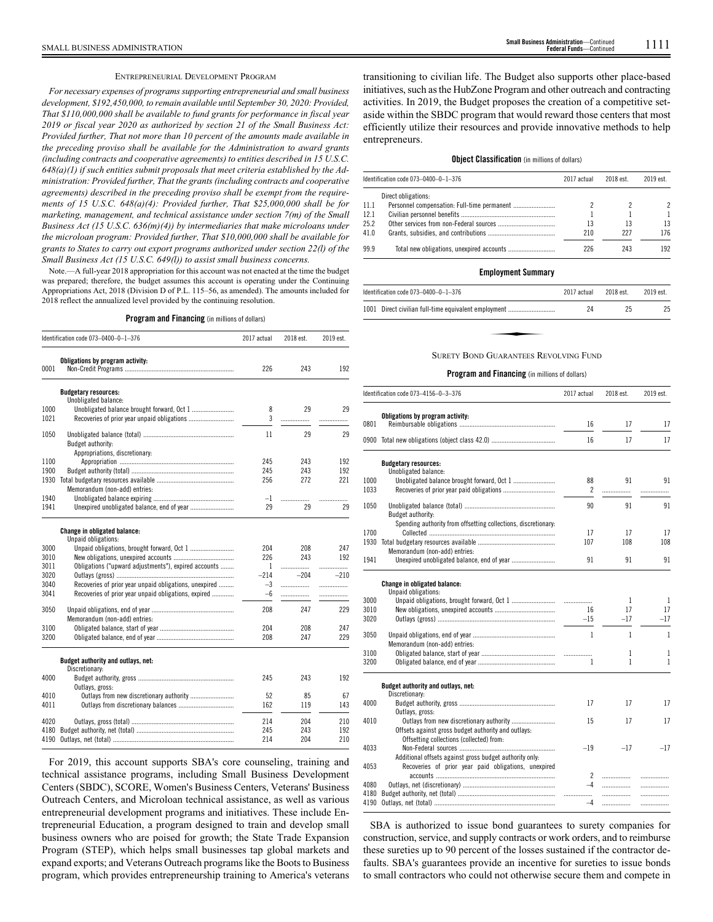### ENTREPRENEURIAL DEVELOPMENT PROGRAM

*For necessary expenses of programs supporting entrepreneurial and small business development, \$192,450,000, to remain available until September 30, 2020: Provided, That \$110,000,000 shall be available to fund grants for performance in fiscal year 2019 or fiscal year 2020 as authorized by section 21 of the Small Business Act: Provided further, That not more than 10 percent of the amounts made available in the preceding proviso shall be available for the Administration to award grants (including contracts and cooperative agreements) to entities described in 15 U.S.C. 648(a)(1) if such entities submit proposals that meet criteria established by the Administration: Provided further, That the grants (including contracts and cooperative agreements) described in the preceding proviso shall be exempt from the requirements of 15 U.S.C. 648(a)(4): Provided further, That \$25,000,000 shall be for marketing, management, and technical assistance under section 7(m) of the Small Business Act (15 U.S.C. 636(m)(4)) by intermediaries that make microloans under the microloan program: Provided further, That \$10,000,000 shall be available for grants to States to carry out export programs authorized under section 22(l) of the Small Business Act (15 U.S.C. 649(l)) to assist small business concerns.*

Note.—A full-year 2018 appropriation for this account was not enacted at the time the budget was prepared; therefore, the budget assumes this account is operating under the Continuing Appropriations Act, 2018 (Division D of P.L. 115–56, as amended). The amounts included for 2018 reflect the annualized level provided by the continuing resolution.

### **Program and Financing** (in millions of dollars)

|      | Identification code 073-0400-0-1-376                       | 2017 actual | 2018 est. | 2019 est. |
|------|------------------------------------------------------------|-------------|-----------|-----------|
| 0001 | Obligations by program activity:                           | 226         | 243       | 192       |
|      | <b>Budgetary resources:</b><br>Unobligated balance:        |             |           |           |
| 1000 |                                                            | 8           | 29        | 29        |
| 1021 |                                                            | 3           | .         | .         |
| 1050 | Budget authority:<br>Appropriations, discretionary:        | 11          | 29        | 29        |
| 1100 |                                                            | 245         | 243       | 192       |
| 1900 |                                                            | 245         | 243       | 192       |
| 1930 | Memorandum (non-add) entries:                              | 256         | 272       | 221       |
| 1940 |                                                            | $-1$        | .         |           |
| 1941 |                                                            | 29          | 29        | 29        |
|      | <b>Change in obligated balance:</b><br>Unpaid obligations: |             |           |           |
| 3000 |                                                            | 204         | 208       | 247       |
| 3010 |                                                            | 226         | 243       | 192       |
| 3011 | Obligations ("upward adjustments"), expired accounts       | 1           | .         | .         |
| 3020 |                                                            | $-214$      | $-204$    | $-210$    |
| 3040 | Recoveries of prior year unpaid obligations, unexpired     | $-3$        | .         | .         |
| 3041 | Recoveries of prior year unpaid obligations, expired       | $-6$        | .         | .         |
| 3050 | Memorandum (non-add) entries:                              | 208         | 247       | 229       |
| 3100 |                                                            | 204         | 208       | 247       |
| 3200 |                                                            | 208         | 247       | 229       |
|      | Budget authority and outlays, net:<br>Discretionary:       |             |           |           |
| 4000 | Outlays, gross:                                            | 245         | 243       | 192       |
| 4010 |                                                            | 52          | 85        | 67        |
| 4011 |                                                            | 162         | 119       | 143       |
| 4020 |                                                            | 214         | 204       | 210       |
| 4180 |                                                            | 245         | 243       | 192       |
| 4190 |                                                            | 214         | 204       | 210       |

For 2019, this account supports SBA's core counseling, training and technical assistance programs, including Small Business Development Centers (SBDC), SCORE, Women's Business Centers, Veterans' Business Outreach Centers, and Microloan technical assistance, as well as various entrepreneurial development programs and initiatives. These include Entrepreneurial Education, a program designed to train and develop small business owners who are poised for growth; the State Trade Expansion Program (STEP), which helps small businesses tap global markets and expand exports; and Veterans Outreach programs like the Boots to Business program, which provides entrepreneurship training to America's veterans

transitioning to civilian life. The Budget also supports other place-based initiatives, such as the HubZone Program and other outreach and contracting activities. In 2019, the Budget proposes the creation of a competitive setaside within the SBDC program that would reward those centers that most efficiently utilize their resources and provide innovative methods to help entrepreneurs.

### **Object Classification** (in millions of dollars)

|      | Identification code 073-0400-0-1-376 | 2017 actual | 2018 est. | 2019 est. |
|------|--------------------------------------|-------------|-----------|-----------|
|      | Direct obligations:                  |             |           |           |
| 11.1 |                                      |             |           | 2         |
| 12.1 |                                      |             |           |           |
| 25.2 |                                      | 13          | 13        | 13        |
| 41.0 |                                      | 210         | 227       | 176       |
| 99.9 |                                      | 226         | 243       | 192       |

### **Employment Summary**

| ldentification code 073–0400–0–1–376                 | 2017 actual | 2018 est. | 2019 est. |
|------------------------------------------------------|-------------|-----------|-----------|
| 1001 Direct civilian full-time equivalent employment | 24          | 25        | 25        |
|                                                      |             |           |           |
| SURETY BOND GUARANTEES REVOLVING FUND                |             |           |           |

### SURETY BOND GUARANTEES REVOLVING FUND

### **Program and Financing** (in millions of dollars)

|      | Identification code 073-4156-0-3-376                           | 2017 actual  | 2018 est.    | 2019 est.    |
|------|----------------------------------------------------------------|--------------|--------------|--------------|
|      | Obligations by program activity:                               |              |              |              |
| 0801 |                                                                | 16           | 17           | 17           |
|      |                                                                | 16           | 17           | 17           |
|      | <b>Budgetary resources:</b>                                    |              |              |              |
|      | Unobligated balance:                                           |              |              |              |
| 1000 | Unobligated balance brought forward, Oct 1                     | 88           | 91           | 91           |
| 1033 |                                                                | 2            | .            |              |
| 1050 |                                                                | 90           | 91           | 91           |
|      | Budget authority:                                              |              |              |              |
|      | Spending authority from offsetting collections, discretionary: |              |              |              |
| 1700 |                                                                | 17           | 17           | 17           |
| 1930 |                                                                | 107          | 108          | 108          |
|      | Memorandum (non-add) entries:                                  |              |              |              |
| 1941 |                                                                | 91           | 91           | 91           |
|      |                                                                |              |              |              |
|      | <b>Change in obligated balance:</b><br>Unpaid obligations:     |              |              |              |
| 3000 |                                                                | $\ldots$     | 1            | $\mathbf{1}$ |
| 3010 |                                                                | 16           | 17           | 17           |
| 3020 |                                                                | $-15$        | $-17$        | $-17$        |
| 3050 |                                                                | $\mathbf{1}$ | $\mathbf{1}$ | $\mathbf{1}$ |
|      | Memorandum (non-add) entries:                                  |              |              |              |
| 3100 |                                                                |              | 1            | 1            |
| 3200 |                                                                | 1            | 1            | 1            |
|      |                                                                |              |              |              |
|      | Budget authority and outlays, net:<br>Discretionary:           |              |              |              |
| 4000 |                                                                | 17           | 17           | 17           |
|      | Outlays, gross:                                                |              |              |              |
| 4010 |                                                                | 15           | 17           | 17           |
|      | Offsets against gross budget authority and outlays:            |              |              |              |
|      | Offsetting collections (collected) from:                       |              |              |              |
| 4033 |                                                                | $-19$        | $-17$        | $-17$        |
|      | Additional offsets against gross budget authority only:        |              |              |              |
| 4053 | Recoveries of prior year paid obligations, unexpired           |              |              |              |
|      |                                                                | $\mathbf{2}$ |              | .            |
| 4080 |                                                                | $-4$         |              | .            |
| 4180 |                                                                | .            | .            |              |
| 4190 |                                                                | $-4$         | .            | .            |
|      |                                                                |              |              |              |

SBA is authorized to issue bond guarantees to surety companies for construction, service, and supply contracts or work orders, and to reimburse these sureties up to 90 percent of the losses sustained if the contractor defaults. SBA's guarantees provide an incentive for sureties to issue bonds to small contractors who could not otherwise secure them and compete in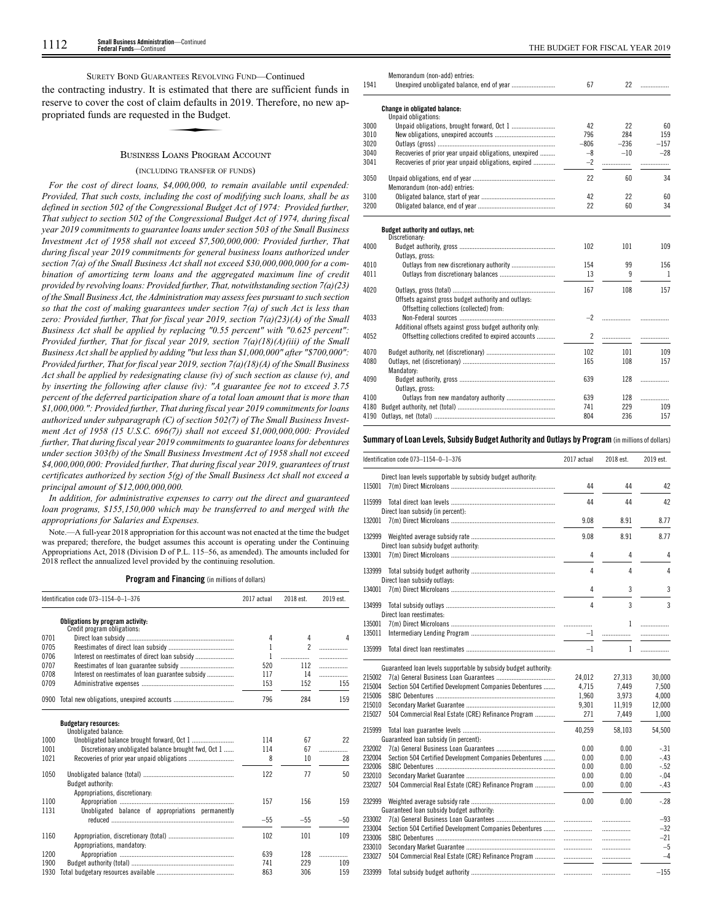SURETY BOND GUARANTEES REVOLVING FUND—Continued

the contracting industry. It is estimated that there are sufficient funds in reserve to cover the cost of claim defaults in 2019. Therefore, no new appropriated funds are requested in the Budget. estimated that<br>aim defaults in<br>aim the Budge

### BUSINESS LOANS PROGRAM ACCOUNT

### (INCLUDING TRANSFER OF FUNDS)

*For the cost of direct loans, \$4,000,000, to remain available until expended: Provided, That such costs, including the cost of modifying such loans, shall be as defined in section 502 of the Congressional Budget Act of 1974: Provided further, That subject to section 502 of the Congressional Budget Act of 1974, during fiscal year 2019 commitments to guarantee loans under section 503 of the Small Business Investment Act of 1958 shall not exceed \$7,500,000,000: Provided further, That during fiscal year 2019 commitments for general business loans authorized under section 7(a) of the Small Business Act shall not exceed \$30,000,000,000 for a combination of amortizing term loans and the aggregated maximum line of credit provided by revolving loans: Provided further, That, notwithstanding section 7(a)(23) of the Small Business Act, the Administration may assess fees pursuant to such section so that the cost of making guarantees under section 7(a) of such Act is less than zero: Provided further, That for fiscal year 2019, section 7(a)(23)(A) of the Small Business Act shall be applied by replacing "0.55 percent" with "0.625 percent": Provided further, That for fiscal year 2019, section 7(a)(18)(A)(iii) of the Small Business Act shall be applied by adding "but less than \$1,000,000" after "\$700,000": Provided further, That for fiscal year 2019, section 7(a)(18)(A) of the Small Business Act shall be applied by redesignating clause (iv) of such section as clause (v), and by inserting the following after clause (iv): "A guarantee fee not to exceed 3.75 percent of the deferred participation share of a total loan amount that is more than \$1,000,000.": Provided further, That during fiscal year 2019 commitments for loans authorized under subparagraph (C) of section 502(7) of The Small Business Investment Act of 1958 (15 U.S.C. 696(7)) shall not exceed \$1,000,000,000: Provided further, That during fiscal year 2019 commitments to guarantee loans for debentures under section 303(b) of the Small Business Investment Act of 1958 shall not exceed \$4,000,000,000: Provided further, That during fiscal year 2019, guarantees of trust certificates authorized by section 5(g) of the Small Business Act shall not exceed a principal amount of \$12,000,000,000.*

*In addition, for administrative expenses to carry out the direct and guaranteed loan programs, \$155,150,000 which may be transferred to and merged with the appropriations for Salaries and Expenses.*

Note.—A full-year 2018 appropriation for this account was not enacted at the time the budget was prepared; therefore, the budget assumes this account is operating under the Continuing Appropriations Act, 2018 (Division D of P.L. 115–56, as amended). The amounts included for 2018 reflect the annualized level provided by the continuing resolution.

**Program and Financing** (in millions of dollars)

|      | Identification code 073-1154-0-1-376                            | 2017 actual | 2018 est.      | 2019 est. |
|------|-----------------------------------------------------------------|-------------|----------------|-----------|
|      | Obligations by program activity:<br>Credit program obligations: |             |                |           |
| 0701 |                                                                 | 4           | 4              | Δ         |
| 0705 |                                                                 | 1           | $\mathfrak{p}$ |           |
| 0706 |                                                                 | 1           |                | .         |
| 0707 |                                                                 | 520         | 112            | .         |
| 0708 | Interest on reestimates of loan guarantee subsidy               | 117         | 14             | .         |
| 0709 |                                                                 | 153         | 152            | 155       |
|      | 0900 Total new obligations, unexpired accounts                  | 796         | 284            | 159       |
|      | <b>Budgetary resources:</b><br>Unobligated balance:             |             |                |           |
| 1000 |                                                                 | 114         | 67             | 22        |
| 1001 | Discretionary unobligated balance brought fwd, Oct 1            | 114         | 67             | .         |
| 1021 |                                                                 | 8           | 10             | 28        |
| 1050 | Budget authority:                                               | 122         | 77             | 50        |
| 1100 | Appropriations, discretionary:                                  | 157         | 156            | 159       |
| 1131 | Unobligated balance of appropriations permanently               | $-55$       | $-55$          | $-50$     |
| 1160 | Appropriations, mandatory:                                      | 102         | 101            | 109       |
| 1200 |                                                                 | 639         | 128            | .         |
| 1900 |                                                                 | 741         | 229            | 109       |
| 1930 |                                                                 | 863         | 306            | 159       |

|      | Memorandum (non-add) entries:                           |                |        |        |
|------|---------------------------------------------------------|----------------|--------|--------|
| 1941 |                                                         | 67             | 22     | .      |
|      | Change in obligated balance:                            |                |        |        |
|      | Unpaid obligations:                                     |                |        |        |
| 3000 | Unpaid obligations, brought forward, Oct 1              | 42             | 22     | 60     |
| 3010 |                                                         | 796            | 284    | 159    |
| 3020 |                                                         | $-806$         | $-236$ | $-157$ |
| 3040 | Recoveries of prior year unpaid obligations, unexpired  | $-8$           | $-10$  | $-28$  |
| 3041 | Recoveries of prior year unpaid obligations, expired    | $-2$           | .      |        |
| 3050 |                                                         | 22             | 60     | 34     |
|      | Memorandum (non-add) entries:                           |                |        |        |
| 3100 |                                                         | 42             | 22     | 60     |
| 3200 |                                                         | 22             | 60     | 34     |
|      | Budget authority and outlays, net:                      |                |        |        |
|      | Discretionary:                                          |                |        |        |
| 4000 | Outlays, gross:                                         | 102            | 101    | 109    |
| 4010 |                                                         | 154            | 99     | 156    |
| 4011 |                                                         | 13             | 9      | 1      |
|      |                                                         |                |        |        |
| 4020 |                                                         | 167            | 108    | 157    |
|      | Offsets against gross budget authority and outlays:     |                |        |        |
|      | Offsetting collections (collected) from:                |                |        |        |
| 4033 |                                                         | $-2$           | .      |        |
|      | Additional offsets against gross budget authority only: |                |        |        |
| 4052 | Offsetting collections credited to expired accounts     | $\overline{2}$ |        |        |
| 4070 |                                                         | 102            | 101    | 109    |
| 4080 |                                                         | 165            | 108    | 157    |
|      | Mandatory:                                              |                |        |        |
| 4090 |                                                         | 639            | 128    | .      |
|      | Outlays, gross:                                         |                |        |        |
| 4100 |                                                         | 639            | 128    | .      |
| 4180 |                                                         | 741            | 229    | 109    |
| 4190 |                                                         | 804            | 236    | 157    |

### **Summary ofLoan Levels, Subsidy Budget Authority and Outlays by Program** (inmillionsof dollars)

|        | Identification code 073-1154-0-1-376                            | 2017 actual | 2018 est. | 2019 est.      |
|--------|-----------------------------------------------------------------|-------------|-----------|----------------|
| 115001 | Direct loan levels supportable by subsidy budget authority:     | 44          | 44        | 42             |
| 115999 |                                                                 | 44          | 44        | 42             |
| 132001 | Direct loan subsidy (in percent):                               | 9.08        | 8.91      | 8.77           |
| 132999 |                                                                 | 9.08        | 8.91      | 8.77           |
| 133001 | Direct loan subsidy budget authority:                           | 4           | 4         | 4              |
| 133999 |                                                                 | 4           | 4         | 4              |
| 134001 | Direct loan subsidy outlays:                                    | 4           | 3         | 3              |
| 134999 |                                                                 | 4           | 3         | 3              |
| 135001 | Direct loan reestimates:                                        |             | 1         |                |
| 135011 |                                                                 | .<br>$-1$   | .         | .<br>.         |
| 135999 |                                                                 | $-1$        | 1         | .              |
|        | Guaranteed loan levels supportable by subsidy budget authority: |             |           |                |
| 215002 |                                                                 | 24,012      | 27,313    | 30,000         |
| 215004 | Section 504 Certified Development Companies Debentures          | 4,715       | 7,449     | 7.500          |
| 215006 |                                                                 | 1,960       | 3,973     | 4,000          |
| 215010 |                                                                 | 9,301       | 11,919    | 12,000         |
| 215027 | 504 Commercial Real Estate (CRE) Refinance Program              | 271         | 7,449     | 1,000          |
| 215999 | Guaranteed loan subsidy (in percent):                           | 40.259      | 58,103    | 54,500         |
| 232002 |                                                                 | 0.00        | 0.00      | $-.31$         |
| 232004 | Section 504 Certified Development Companies Debentures          | 0.00        | 0.00      | -.43           |
| 232006 |                                                                 | 0.00        | 0.00      | $-.52$         |
| 232010 |                                                                 | 0.00        | 0.00      | $-.04$         |
| 232027 | 504 Commercial Real Estate (CRE) Refinance Program              | 0.00        | 0.00      | $-.43$         |
| 232999 |                                                                 | 0.00        | 0.00      | $-.28$         |
| 233002 | Guaranteed loan subsidy budget authority:                       |             |           |                |
| 233004 | Section 504 Certified Development Companies Debentures          | .           | .         | $-93$<br>$-32$ |
|        |                                                                 | .           | .         |                |
| 233006 |                                                                 |             | .         | $-21$          |
| 233010 |                                                                 |             | .         | $-5$           |
| 233027 | 504 Commercial Real Estate (CRE) Refinance Program              |             | .         | $-4$           |
| 233999 |                                                                 | .           | .         | $-155$         |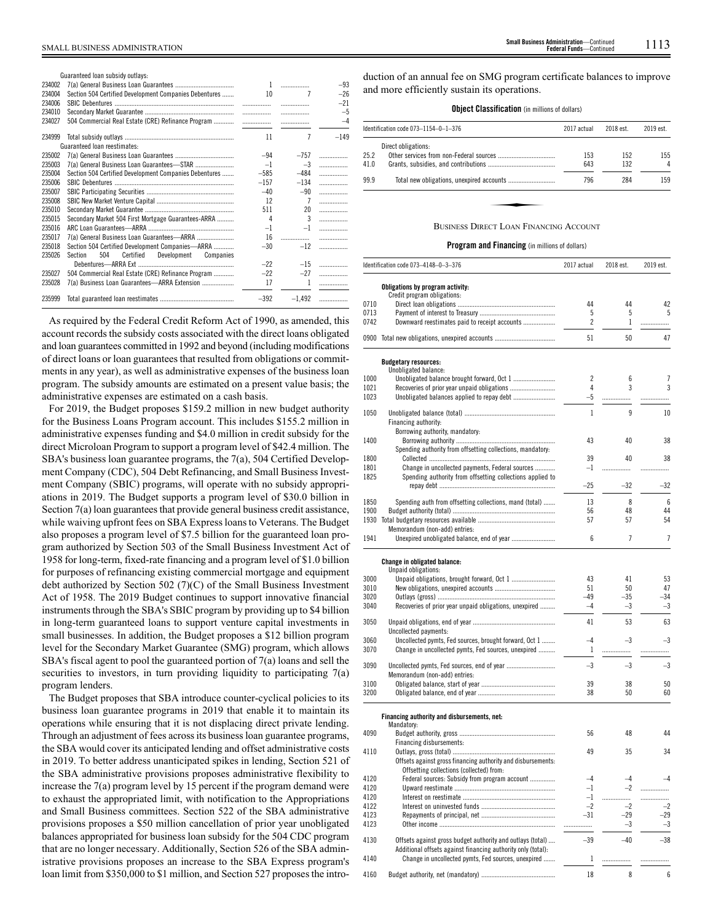|        | Guaranteed loan subsidy outlays:                       |        |                |        |
|--------|--------------------------------------------------------|--------|----------------|--------|
| 234002 |                                                        | 1      |                | $-93$  |
| 234004 | Section 504 Certified Development Companies Debentures | 10     | 7              | $-26$  |
| 234006 |                                                        | .      | .              | $-21$  |
| 234010 |                                                        | .      |                | $-5$   |
| 234027 | 504 Commercial Real Estate (CRE) Refinance Program     |        |                | $-4$   |
| 234999 |                                                        | 11     | 7              | $-149$ |
|        | Guaranteed loan reestimates:                           |        |                |        |
| 235002 |                                                        | $-94$  | $-757$         | .      |
| 235003 |                                                        | $-1$   | $-3$           | .      |
| 235004 | Section 504 Certified Development Companies Debentures | $-585$ | $-484$         | .      |
| 235006 |                                                        | $-157$ | $-134$         | .      |
| 235007 |                                                        | $-40$  | $-90$          | .      |
| 235008 |                                                        | 12     | $\overline{7}$ | .      |
| 235010 |                                                        | 511    | 20             | .      |
| 235015 | Secondary Market 504 First Mortgage Guarantees-ARRA    | 4      | $\mathbf{3}$   | .      |
| 235016 |                                                        | $-1$   | $-1$           | .      |
| 235017 |                                                        | 16     | .              | .      |
| 235018 | Section 504 Certified Development Companies—ARRA       | $-30$  | $-12$          | .      |
| 235026 | 504<br>Section<br>Certified<br>Development Companies   |        |                |        |
|        |                                                        | $-22$  | $-15$          |        |
| 235027 | 504 Commercial Real Estate (CRE) Refinance Program     | $-22$  | $-27$          |        |
| 235028 | 7(a) Business Loan Guarantees—ARRA Extension           | 17     |                |        |
| 235999 |                                                        | $-392$ | $-1.492$       |        |

As required by the Federal Credit Reform Act of 1990, as amended, this account records the subsidy costs associated with the direct loans obligated and loan guarantees committed in 1992 and beyond (including modifications of direct loans or loan guarantees that resulted from obligations or commitments in any year), as well as administrative expenses of the business loan program. The subsidy amounts are estimated on a present value basis; the administrative expenses are estimated on a cash basis.

For 2019, the Budget proposes \$159.2 million in new budget authority for the Business Loans Program account. This includes \$155.2 million in administrative expenses funding and \$4.0 million in credit subsidy for the direct Microloan Program to support a program level of \$42.4 million. The SBA's business loan guarantee programs, the 7(a), 504 Certified Development Company (CDC), 504 Debt Refinancing, and Small Business Investment Company (SBIC) programs, will operate with no subsidy appropriations in 2019. The Budget supports a program level of \$30.0 billion in Section 7(a) loan guarantees that provide general business credit assistance, while waiving upfront fees on SBA Express loans to Veterans. The Budget also proposes a program level of \$7.5 billion for the guaranteed loan program authorized by Section 503 of the Small Business Investment Act of 1958 for long-term, fixed-rate financing and a program level of \$1.0 billion for purposes of refinancing existing commercial mortgage and equipment debt authorized by Section 502 (7)(C) of the Small Business Investment Act of 1958. The 2019 Budget continues to support innovative financial instruments through the SBA's SBIC program by providing up to \$4 billion in long-term guaranteed loans to support venture capital investments in small businesses. In addition, the Budget proposes a \$12 billion program level for the Secondary Market Guarantee (SMG) program, which allows SBA's fiscal agent to pool the guaranteed portion of 7(a) loans and sell the securities to investors, in turn providing liquidity to participating 7(a) program lenders.

The Budget proposes that SBA introduce counter-cyclical policies to its business loan guarantee programs in 2019 that enable it to maintain its operations while ensuring that it is not displacing direct private lending. Through an adjustment of fees across its business loan guarantee programs, the SBA would cover its anticipated lending and offset administrative costs in 2019. To better address unanticipated spikes in lending, Section 521 of the SBA administrative provisions proposes administrative flexibility to increase the 7(a) program level by 15 percent if the program demand were to exhaust the appropriated limit, with notification to the Appropriations and Small Business committees. Section 522 of the SBA administrative provisions proposes a \$50 million cancellation of prior year unobligated balances appropriated for business loan subsidy for the 504 CDC program that are no longer necessary. Additionally, Section 526 of the SBA administrative provisions proposes an increase to the SBA Express program's loan limit from \$350,000 to \$1 million, and Section 527 proposes the intro-

duction of an annual fee on SMG program certificate balances to improve and more efficiently sustain its operations.

### **Object Classification** (in millions of dollars)

|      | ldentification code 073–1154–0–1–376          | 2017 actual | 2018 est. | 2019 est. |
|------|-----------------------------------------------|-------------|-----------|-----------|
|      | Direct obligations:                           |             |           |           |
| 25.2 |                                               | 153         | 152       | 155       |
| 41.0 |                                               | 643         | 132       | 4         |
| 99.9 |                                               | 796         | 284       | 159       |
|      |                                               |             |           |           |
|      |                                               |             |           |           |
|      | <b>BUSINESS DIRECT LOAN FINANCING ACCOUNT</b> |             |           |           |

### BUSINESS DIRECT LOAN FINANCING ACCOUNT

### **Program and Financing** (in millions of dollars)

|              | Identification code 073-4148-0-3-376                                                                                | 2017 actual  | 2018 est.      | 2019 est.      |
|--------------|---------------------------------------------------------------------------------------------------------------------|--------------|----------------|----------------|
|              | Obligations by program activity:                                                                                    |              |                |                |
|              | Credit program obligations:                                                                                         |              |                |                |
| 0710         |                                                                                                                     | 44           | 44             | 42             |
| 0713         |                                                                                                                     | 5            | 5              | 5              |
| 0742         | Downward reestimates paid to receipt accounts                                                                       | 2            | 1              | .              |
|              | 0900 Total new obligations, unexpired accounts                                                                      | 51           | 50             | 47             |
|              | <b>Budgetary resources:</b>                                                                                         |              |                |                |
| 1000         | Unobligated balance:                                                                                                | 2            | 6              | 7              |
| 1021         |                                                                                                                     | 4            | 3              | 3              |
| 1023         | Unobligated balances applied to repay debt                                                                          | $-5$         | .              | .              |
| 1050         |                                                                                                                     | $\mathbf{1}$ | 9              |                |
|              | Financing authority:                                                                                                |              |                | 10             |
|              | Borrowing authority, mandatory:                                                                                     |              |                |                |
| 1400         |                                                                                                                     | 43           | 40             | 38             |
|              | Spending authority from offsetting collections, mandatory:                                                          |              |                |                |
| 1800         |                                                                                                                     | 39           | 40             | 38             |
| 1801         | Change in uncollected payments, Federal sources                                                                     | $-1$         | .              |                |
| 1825         | Spending authority from offsetting collections applied to                                                           |              |                |                |
|              |                                                                                                                     | -25          | $-32$          | -32            |
|              |                                                                                                                     |              |                |                |
| 1850         | Spending auth from offsetting collections, mand (total)                                                             | 13           | 8              | 6              |
| 1900         |                                                                                                                     | 56<br>57     | 48<br>57       | 44<br>54       |
| 1930         | Memorandum (non-add) entries:                                                                                       |              |                |                |
| 1941         |                                                                                                                     | 6            | $\overline{7}$ | $\overline{7}$ |
|              | Change in obligated balance:<br>Unpaid obligations:                                                                 |              |                |                |
| 3000<br>3010 |                                                                                                                     | 43<br>51     | 41<br>50       | 53<br>47       |
| 3020         |                                                                                                                     | -49          | $-35$          | $-34$          |
| 3040         | Recoveries of prior year unpaid obligations, unexpired                                                              | $-4$         | -3             | -3             |
| 3050         |                                                                                                                     | 41           | 53             | 63             |
|              | Uncollected payments:                                                                                               |              |                |                |
| 3060         | Uncollected pymts, Fed sources, brought forward, Oct 1                                                              | -4           | -3             | -3             |
| 3070         | Change in uncollected pymts, Fed sources, unexpired                                                                 | 1            | .              | .              |
|              |                                                                                                                     |              |                |                |
| 3090         | Memorandum (non-add) entries:                                                                                       | $-3$         | -3             | -3             |
| 3100         |                                                                                                                     | 39           | 38             | 50             |
| 3200         |                                                                                                                     | 38           | 50             | 60             |
|              | Financing authority and disbursements, net:                                                                         |              |                |                |
|              | Mandatory:                                                                                                          |              |                |                |
| 4090         |                                                                                                                     | 56           | 48             | 44             |
|              | Financing disbursements:                                                                                            |              |                |                |
| 4110         |                                                                                                                     | 49           | 35             | 34             |
|              | Offsets against gross financing authority and disbursements:                                                        |              |                |                |
| 4120         | Offsetting collections (collected) from:                                                                            | $-4$         | -4             | $-4$           |
| 4120         | Federal sources: Subsidy from program account                                                                       | $-1$         | $^{-2}$        |                |
| 4120         |                                                                                                                     | $-1$         |                | .<br>          |
| 4122         |                                                                                                                     | $-2$         | $-2$           | $-2$           |
| 4123         |                                                                                                                     | $-31$        | $-29$          | -29            |
| 4123         |                                                                                                                     |              | $-3$           | $-3$           |
|              |                                                                                                                     |              |                |                |
| 4130         | Offsets against gross budget authority and outlays (total)                                                          | $-39$        | $-40$          | $-38$          |
| 4140         | Additional offsets against financing authority only (total):<br>Change in uncollected pymts, Fed sources, unexpired | 1            | .              |                |
|              |                                                                                                                     |              |                |                |
| 4160         |                                                                                                                     | 18           | 8              | 6              |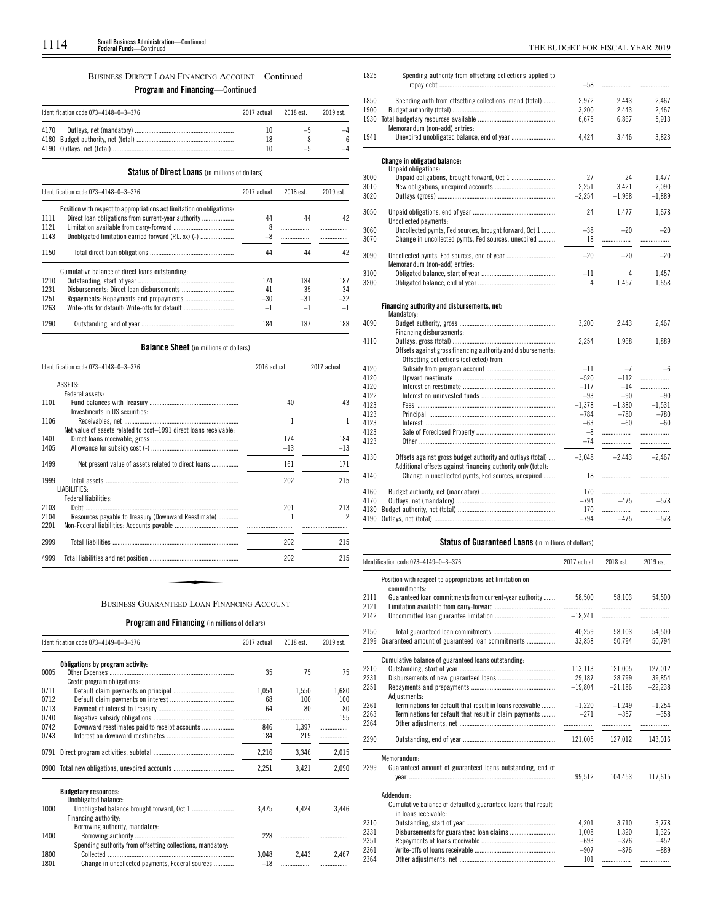# BUSINESS DIRECT LOAN FINANCING ACCOUNT—Continued

# **Program and Financing**—Continued

|      | Identification code 073-4148-0-3-376 | 2017 actual | 2018 est. | 2019 est |
|------|--------------------------------------|-------------|-----------|----------|
| 4170 |                                      |             |           |          |
|      |                                      | 18          |           |          |
|      |                                      |             |           |          |

# **Status of Direct Loans** (in millions of dollars)

|      | Identification code 073-4148-0-3-376                                   | 2017 actual | 2018 est. | 2019 est. |
|------|------------------------------------------------------------------------|-------------|-----------|-----------|
|      | Position with respect to appropriations act limitation on obligations. |             |           |           |
| 1111 | Direct loan obligations from current-year authority                    | 44          | 44        | 42        |
| 1121 |                                                                        | 8           |           |           |
| 1143 | Unobligated limitation carried forward (P.L. xx) (-)                   | $-8$        |           |           |
| 1150 |                                                                        | 44          | 44        | 42        |
|      | Cumulative balance of direct loans outstanding:                        |             |           |           |
| 1210 |                                                                        | 174         | 184       | 187       |
| 1231 |                                                                        | 41          | 35        | 34        |
| 1251 |                                                                        | $-30$       | $-31$     | $-32$     |
| 1263 | Write-offs for default: Write-offs for default                         | $-1$        | $-1$      | $-1$      |
| 1290 |                                                                        | 184         | 187       | 188       |

# **Balance Sheet** (in millions of dollars)

|      | Identification code 073-4148-0-3-376                              | 2016 actual | 2017 actual |
|------|-------------------------------------------------------------------|-------------|-------------|
|      | ASSETS:                                                           |             |             |
|      | Federal assets:                                                   |             |             |
| 1101 | Investments in US securities:                                     | 40          | 43          |
| 1106 |                                                                   | 1           | 1           |
|      | Net value of assets related to post-1991 direct loans receivable: |             |             |
| 1401 |                                                                   | 174         | 184         |
| 1405 |                                                                   | $-13$       | $-13$       |
| 1499 | Net present value of assets related to direct loans               | 161         | 171         |
| 1999 |                                                                   | 202         | 215         |
|      | LIABILITIES:                                                      |             |             |
|      | Federal liabilities:                                              |             |             |
| 2103 |                                                                   | 201         | 213         |
| 2104 | Resources payable to Treasury (Downward Reestimate)               | 1           | 2           |
| 2201 |                                                                   |             |             |
| 2999 |                                                                   | 202         | 215         |
| 4999 |                                                                   | 202         | 215         |

# **Program and Financing** (in millions of dollars)

|      | Identification code 073-4149-0-3-376                       | 2017 actual | 2018 est. | 2019 est. |
|------|------------------------------------------------------------|-------------|-----------|-----------|
|      | Obligations by program activity:                           |             |           |           |
| 0005 |                                                            | 35          | 75        | 75        |
| 0711 | Credit program obligations:                                |             |           |           |
|      |                                                            | 1.054       | 1.550     | 1,680     |
| 0712 |                                                            | 68          | 100       | 100       |
| 0713 |                                                            | 64          | 80        | 80        |
| 0740 |                                                            | .           |           | 155       |
| 0742 | Downward reestimates paid to receipt accounts              | 846         | 1.397     | .         |
| 0743 |                                                            | 184         | 219       | .         |
| 0791 |                                                            | 2,216       | 3,346     | 2,015     |
| 0900 |                                                            | 2,251       | 3,421     | 2,090     |
|      | <b>Budgetary resources:</b>                                |             |           |           |
|      | Unobligated balance:                                       |             |           |           |
| 1000 |                                                            | 3,475       | 4,424     | 3,446     |
|      | Financing authority:                                       |             |           |           |
|      | Borrowing authority, mandatory:                            |             |           |           |
| 1400 | Spending authority from offsetting collections, mandatory. | 228         |           |           |
| 1800 |                                                            | 3.048       | 2,443     | 2,467     |
| 1801 | Change in uncollected payments, Federal sources            | $-18$       |           |           |
|      |                                                            |             |           |           |

Spending authority from offsetting collections applied to 

l,

|      |                                                                                                                            | $-58$         |             | .        |
|------|----------------------------------------------------------------------------------------------------------------------------|---------------|-------------|----------|
| 1850 | Spending auth from offsetting collections, mand (total)                                                                    | 2.972         | 2,443       | 2,467    |
| 1900 |                                                                                                                            | 3,200         | 2,443       | 2,467    |
| 1930 | Memorandum (non-add) entries:                                                                                              | 6.675         | 6,867       | 5,913    |
| 1941 |                                                                                                                            | 4,424         | 3,446       | 3,823    |
|      | Change in obligated balance:                                                                                               |               |             |          |
| 3000 | Unpaid obligations:<br>Unpaid obligations, brought forward, Oct 1                                                          | 27            | 24          | 1,477    |
| 3010 |                                                                                                                            | 2,251         | 3,421       | 2,090    |
| 3020 |                                                                                                                            | $-2,254$      | $-1,968$    | $-1,889$ |
|      |                                                                                                                            |               |             |          |
| 3050 | Uncollected payments:                                                                                                      | 24            | 1,477       | 1,678    |
| 3060 | Uncollected pymts, Fed sources, brought forward, Oct 1                                                                     | $-38$         | $-20$       | $-20$    |
| 3070 | Change in uncollected pymts, Fed sources, unexpired                                                                        | 18            | .           | .        |
| 3090 |                                                                                                                            | $-20$         | $-20$       | $-20$    |
| 3100 | Memorandum (non-add) entries:                                                                                              | $-11$         | 4           | 1.457    |
| 3200 |                                                                                                                            | 4             | 1,457       | 1,658    |
|      |                                                                                                                            |               |             |          |
|      | Financing authority and disbursements, net:                                                                                |               |             |          |
|      | Mandatory:                                                                                                                 |               |             |          |
| 4090 |                                                                                                                            | 3,200         | 2,443       | 2,467    |
|      | Financing disbursements:                                                                                                   |               |             |          |
| 4110 |                                                                                                                            | 2,254         | 1,968       | 1,889    |
|      | Offsets against gross financing authority and disbursements:<br>Offsetting collections (collected) from:                   |               |             |          |
| 4120 |                                                                                                                            | $-11$         | $-7$        | $-6$     |
| 4120 |                                                                                                                            | $-520$        | $-112$      | .        |
| 4120 |                                                                                                                            | $-117$        | $-14$       |          |
| 4122 |                                                                                                                            | $-93$         | $-90$       | $-90$    |
| 4123 |                                                                                                                            | $-1.378$      | $-1.380$    | $-1.531$ |
| 4123 |                                                                                                                            | $-784$        | $-780$      | $-780$   |
| 4123 |                                                                                                                            | $-63$         | $-60$       | $-60$    |
| 4123 |                                                                                                                            | $-8$          | .           | .        |
| 4123 |                                                                                                                            | $-74$         |             |          |
|      |                                                                                                                            |               |             | .        |
| 4130 | Offsets against gross budget authority and outlays (total)<br>Additional offsets against financing authority only (total): | $-3,048$      | $-2.443$    | $-2.467$ |
| 4140 | Change in uncollected pymts, Fed sources, unexpired                                                                        | 18            | .           |          |
| 4160 |                                                                                                                            | 170           | .           | .        |
| 4170 |                                                                                                                            | $-794$        | $-475$      | $-578$   |
|      |                                                                                                                            |               |             |          |
| 4180 |                                                                                                                            | 170<br>$-794$ | .<br>$-475$ |          |
|      |                                                                                                                            |               |             | $-578$   |

# **Status of Guaranteed Loans** (in millions of dollars)

|              | Identification code 073-4149-0-3-376                                                 | 2017 actual | 2018 est.   | 2019 est.   |
|--------------|--------------------------------------------------------------------------------------|-------------|-------------|-------------|
|              | Position with respect to appropriations act limitation on<br>commitments:            |             |             |             |
| 2111<br>2121 | Guaranteed loan commitments from current-year authority                              | 58,500<br>. | 58,103<br>. | 54,500      |
| 2142         |                                                                                      | $-18.241$   | .           |             |
| 2150         |                                                                                      | 40.259      | 58.103      | 54.500      |
| 2199         | Guaranteed amount of guaranteed loan commitments                                     | 33,858      | 50,794      | 50,794      |
|              | Cumulative balance of guaranteed loans outstanding.                                  |             |             |             |
| 2210         |                                                                                      | 113.113     | 121.005     | 127.012     |
| 2231         |                                                                                      | 29.187      | 28,799      | 39,854      |
| 2251         | Adjustments:                                                                         | $-19.804$   | $-21,186$   | $-22.238$   |
| 2261         | Terminations for default that result in loans receivable                             | $-1.220$    | $-1.249$    | $-1.254$    |
| 2263<br>2264 | Terminations for default that result in claim payments                               | $-271$      | $-357$<br>  | $-358$<br>. |
| 2290         |                                                                                      | 121.005     | 127.012     | 143,016     |
|              | Memorandum:                                                                          |             |             |             |
| 2299         | Guaranteed amount of guaranteed loans outstanding, end of                            |             |             |             |
|              |                                                                                      | 99,512      | 104,453     | 117,615     |
|              | Addendum:                                                                            |             |             |             |
|              | Cumulative balance of defaulted guaranteed loans that result<br>in loans receivable: |             |             |             |
| 2310         |                                                                                      | 4,201       | 3,710       | 3.778       |
| 2331         |                                                                                      | 1.008       | 1.320       | 1,326       |
| 2351         |                                                                                      | $-693$      | $-376$      | $-452$      |
| 2361         |                                                                                      | $-907$      | $-876$      | $-889$      |
| 2364         |                                                                                      | 101         | .           | .           |
|              |                                                                                      |             |             |             |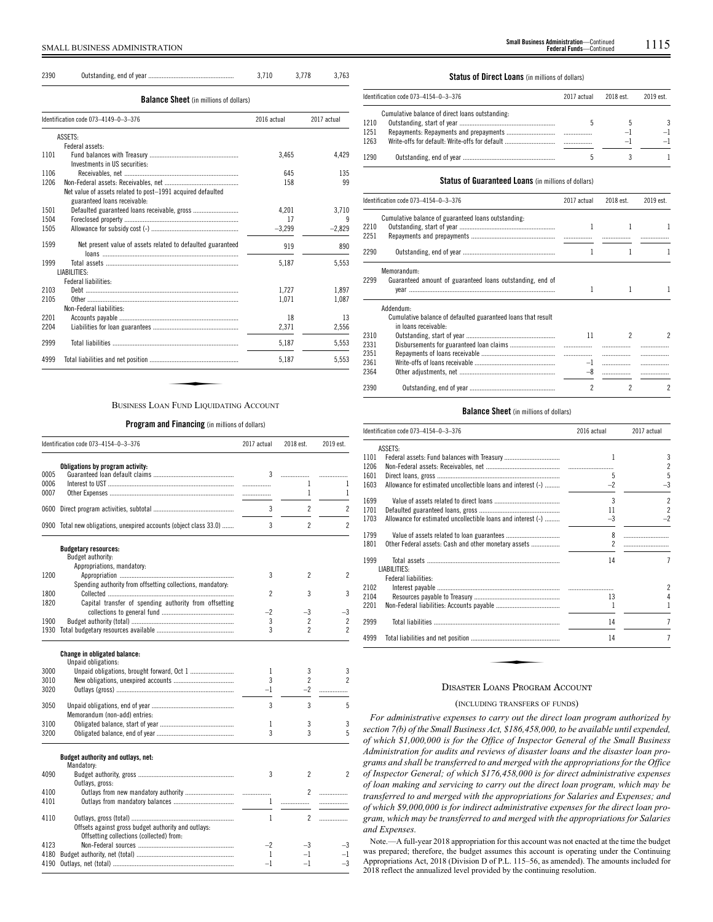| 2390 |                                               | 3.710       | 3.778 | 3.763       |
|------|-----------------------------------------------|-------------|-------|-------------|
|      | <b>Balance Sheet</b> (in millions of dollars) |             |       |             |
|      | Identification code 073-4149-0-3-376          | 2016 actual |       | 2017 actual |
|      | ASSETS:                                       |             |       |             |
| 1101 | Federal assets:                               | 3.465       |       | 4.429       |
|      | Investments in US securities:                 |             |       |             |
| 1106 |                                               |             | 645   | 135         |

| 1206 |                                                             | 158      | 99       |
|------|-------------------------------------------------------------|----------|----------|
|      | Net value of assets related to post-1991 acquired defaulted |          |          |
|      | guaranteed loans receivable:                                |          |          |
| 1501 |                                                             | 4,201    | 3,710    |
| 1504 |                                                             | 17       | 9        |
| 1505 |                                                             | $-3,299$ | $-2,829$ |
| 1599 | Net present value of assets related to defaulted guaranteed | 919      | 890      |
|      |                                                             |          |          |
| 1999 |                                                             | 5,187    | 5,553    |
|      | LIABILITIES:                                                |          |          |
|      | Federal liabilities:                                        |          |          |
| 2103 |                                                             | 1.727    | 1.897    |
| 2105 |                                                             | 1,071    | 1,087    |
|      | Non-Federal liabilities:                                    |          |          |
| 2201 |                                                             | 18       | 13       |
| 2204 |                                                             | 2,371    | 2,556    |
| 2999 |                                                             | 5,187    | 5,553    |
| 4999 |                                                             | 5,187    | 5.553    |
|      |                                                             |          |          |
|      |                                                             |          |          |
|      |                                                             |          |          |
|      | BUSINESS LOAN FUND LIQUIDATING ACCOUNT                      |          |          |

# **Program and Financing** (in millions of dollars)

| Obligations by program activity:<br>3<br>.<br>0006<br>1<br>.<br>$\mathbf{1}$<br>0007<br>.<br>$\overline{c}$<br>3<br>0600<br>3<br>$\overline{2}$<br><b>Budgetary resources:</b><br><b>Budget authority:</b><br>Appropriations, mandatory:<br>1200<br>2<br>3<br>Spending authority from offsetting collections, mandatory:<br>1800<br>$\overline{\phantom{a}}$<br>3<br>Capital transfer of spending authority from offsetting<br>1820<br>$-3$<br>$^{-2}$<br>1900<br>3<br>$\overline{c}$<br>3<br>$\overline{\phantom{a}}$<br><b>Change in obligated balance:</b><br>Unpaid obligations:<br>3<br>3000<br>1<br>$\overline{2}$<br>3<br>3010<br>3020<br>$-2$<br>$-1$<br>.<br>3<br>3<br>3050<br>Memorandum (non-add) entries:<br>3100<br>3<br>1<br>3<br>3200<br>3<br>Budget authority and outlays, net:<br>Mandatory:<br>$\overline{c}$<br>4090<br>3<br>Outlays, gross:<br>$\mathfrak{p}$<br>.<br><br>$\mathbf{1}$<br>.<br>.<br>$\mathbf{1}$<br>$\overline{\phantom{a}}$<br>4110<br>Offsets against gross budget authority and outlays:<br>Offsetting collections (collected) from:<br>$-3$<br>$-2$<br>$-1$<br>1<br>$-1$<br>4190 | Identification code 073-4154-0-3-376 | 2017 actual | 2018 est. | 2019 est.      |
|--------------------------------------------------------------------------------------------------------------------------------------------------------------------------------------------------------------------------------------------------------------------------------------------------------------------------------------------------------------------------------------------------------------------------------------------------------------------------------------------------------------------------------------------------------------------------------------------------------------------------------------------------------------------------------------------------------------------------------------------------------------------------------------------------------------------------------------------------------------------------------------------------------------------------------------------------------------------------------------------------------------------------------------------------------------------------------------------------------------------------|--------------------------------------|-------------|-----------|----------------|
| 0005<br>0900 Total new obligations, unexpired accounts (object class 33.0)<br>4100<br>4101<br>4123<br>4180                                                                                                                                                                                                                                                                                                                                                                                                                                                                                                                                                                                                                                                                                                                                                                                                                                                                                                                                                                                                               |                                      |             |           |                |
|                                                                                                                                                                                                                                                                                                                                                                                                                                                                                                                                                                                                                                                                                                                                                                                                                                                                                                                                                                                                                                                                                                                          |                                      |             |           | .              |
|                                                                                                                                                                                                                                                                                                                                                                                                                                                                                                                                                                                                                                                                                                                                                                                                                                                                                                                                                                                                                                                                                                                          |                                      |             |           | 1              |
|                                                                                                                                                                                                                                                                                                                                                                                                                                                                                                                                                                                                                                                                                                                                                                                                                                                                                                                                                                                                                                                                                                                          |                                      |             |           | 1              |
|                                                                                                                                                                                                                                                                                                                                                                                                                                                                                                                                                                                                                                                                                                                                                                                                                                                                                                                                                                                                                                                                                                                          |                                      |             |           | $\overline{c}$ |
|                                                                                                                                                                                                                                                                                                                                                                                                                                                                                                                                                                                                                                                                                                                                                                                                                                                                                                                                                                                                                                                                                                                          |                                      |             |           | $\overline{2}$ |
|                                                                                                                                                                                                                                                                                                                                                                                                                                                                                                                                                                                                                                                                                                                                                                                                                                                                                                                                                                                                                                                                                                                          |                                      |             |           |                |
|                                                                                                                                                                                                                                                                                                                                                                                                                                                                                                                                                                                                                                                                                                                                                                                                                                                                                                                                                                                                                                                                                                                          |                                      |             |           |                |
|                                                                                                                                                                                                                                                                                                                                                                                                                                                                                                                                                                                                                                                                                                                                                                                                                                                                                                                                                                                                                                                                                                                          |                                      |             |           |                |
|                                                                                                                                                                                                                                                                                                                                                                                                                                                                                                                                                                                                                                                                                                                                                                                                                                                                                                                                                                                                                                                                                                                          |                                      |             |           | 2              |
|                                                                                                                                                                                                                                                                                                                                                                                                                                                                                                                                                                                                                                                                                                                                                                                                                                                                                                                                                                                                                                                                                                                          |                                      |             |           | 3              |
|                                                                                                                                                                                                                                                                                                                                                                                                                                                                                                                                                                                                                                                                                                                                                                                                                                                                                                                                                                                                                                                                                                                          |                                      |             |           |                |
|                                                                                                                                                                                                                                                                                                                                                                                                                                                                                                                                                                                                                                                                                                                                                                                                                                                                                                                                                                                                                                                                                                                          |                                      |             |           | $-3$           |
|                                                                                                                                                                                                                                                                                                                                                                                                                                                                                                                                                                                                                                                                                                                                                                                                                                                                                                                                                                                                                                                                                                                          |                                      |             |           | 2              |
|                                                                                                                                                                                                                                                                                                                                                                                                                                                                                                                                                                                                                                                                                                                                                                                                                                                                                                                                                                                                                                                                                                                          |                                      |             |           | $\overline{c}$ |
|                                                                                                                                                                                                                                                                                                                                                                                                                                                                                                                                                                                                                                                                                                                                                                                                                                                                                                                                                                                                                                                                                                                          |                                      |             |           |                |
|                                                                                                                                                                                                                                                                                                                                                                                                                                                                                                                                                                                                                                                                                                                                                                                                                                                                                                                                                                                                                                                                                                                          |                                      |             |           |                |
|                                                                                                                                                                                                                                                                                                                                                                                                                                                                                                                                                                                                                                                                                                                                                                                                                                                                                                                                                                                                                                                                                                                          |                                      |             |           | 3              |
|                                                                                                                                                                                                                                                                                                                                                                                                                                                                                                                                                                                                                                                                                                                                                                                                                                                                                                                                                                                                                                                                                                                          |                                      |             |           | $\overline{2}$ |
|                                                                                                                                                                                                                                                                                                                                                                                                                                                                                                                                                                                                                                                                                                                                                                                                                                                                                                                                                                                                                                                                                                                          |                                      |             |           |                |
|                                                                                                                                                                                                                                                                                                                                                                                                                                                                                                                                                                                                                                                                                                                                                                                                                                                                                                                                                                                                                                                                                                                          |                                      |             |           |                |
|                                                                                                                                                                                                                                                                                                                                                                                                                                                                                                                                                                                                                                                                                                                                                                                                                                                                                                                                                                                                                                                                                                                          |                                      |             |           | 5              |
|                                                                                                                                                                                                                                                                                                                                                                                                                                                                                                                                                                                                                                                                                                                                                                                                                                                                                                                                                                                                                                                                                                                          |                                      |             |           |                |
|                                                                                                                                                                                                                                                                                                                                                                                                                                                                                                                                                                                                                                                                                                                                                                                                                                                                                                                                                                                                                                                                                                                          |                                      |             |           | 3              |
|                                                                                                                                                                                                                                                                                                                                                                                                                                                                                                                                                                                                                                                                                                                                                                                                                                                                                                                                                                                                                                                                                                                          |                                      |             |           | 5              |
|                                                                                                                                                                                                                                                                                                                                                                                                                                                                                                                                                                                                                                                                                                                                                                                                                                                                                                                                                                                                                                                                                                                          |                                      |             |           |                |
|                                                                                                                                                                                                                                                                                                                                                                                                                                                                                                                                                                                                                                                                                                                                                                                                                                                                                                                                                                                                                                                                                                                          |                                      |             |           | 2              |
|                                                                                                                                                                                                                                                                                                                                                                                                                                                                                                                                                                                                                                                                                                                                                                                                                                                                                                                                                                                                                                                                                                                          |                                      |             |           |                |
|                                                                                                                                                                                                                                                                                                                                                                                                                                                                                                                                                                                                                                                                                                                                                                                                                                                                                                                                                                                                                                                                                                                          |                                      |             |           |                |
|                                                                                                                                                                                                                                                                                                                                                                                                                                                                                                                                                                                                                                                                                                                                                                                                                                                                                                                                                                                                                                                                                                                          |                                      |             |           |                |
|                                                                                                                                                                                                                                                                                                                                                                                                                                                                                                                                                                                                                                                                                                                                                                                                                                                                                                                                                                                                                                                                                                                          |                                      |             |           | .              |
|                                                                                                                                                                                                                                                                                                                                                                                                                                                                                                                                                                                                                                                                                                                                                                                                                                                                                                                                                                                                                                                                                                                          |                                      |             |           |                |
|                                                                                                                                                                                                                                                                                                                                                                                                                                                                                                                                                                                                                                                                                                                                                                                                                                                                                                                                                                                                                                                                                                                          |                                      |             |           | -3             |
|                                                                                                                                                                                                                                                                                                                                                                                                                                                                                                                                                                                                                                                                                                                                                                                                                                                                                                                                                                                                                                                                                                                          |                                      |             |           | $-1$           |
|                                                                                                                                                                                                                                                                                                                                                                                                                                                                                                                                                                                                                                                                                                                                                                                                                                                                                                                                                                                                                                                                                                                          |                                      |             | $-1$      | $-3$           |

### **Status of Direct Loans** (in millions of dollars)

|                      | ldentification code 073–4154–0–3–376            | 2017 actual | 2018 est. | 2019 est. |
|----------------------|-------------------------------------------------|-------------|-----------|-----------|
| 1210<br>1251<br>1263 | Cumulative balance of direct loans outstanding: |             | -1<br>-1  | 3<br>$-1$ |
| 1290                 |                                                 |             |           |           |

### **Status of Guaranteed Loans** (in millions of dollars)

|      | Identification code 073-4154-0-3-376                                                 | 2017 actual | 2018 est. | 2019 est.                |
|------|--------------------------------------------------------------------------------------|-------------|-----------|--------------------------|
| 2210 | Cumulative balance of guaranteed loans outstanding.                                  |             |           |                          |
| 2251 |                                                                                      |             |           |                          |
| 2290 |                                                                                      |             |           |                          |
|      | Memorandum:                                                                          |             |           |                          |
| 2299 | Guaranteed amount of guaranteed loans outstanding, end of                            | 1           |           |                          |
|      | Addendum:                                                                            |             |           |                          |
|      | Cumulative balance of defaulted guaranteed loans that result<br>in loans receivable: |             |           |                          |
| 2310 |                                                                                      | 11          | 2         | 2                        |
| 2331 |                                                                                      |             |           |                          |
| 2351 |                                                                                      |             |           |                          |
| 2361 |                                                                                      |             | .         |                          |
| 2364 |                                                                                      | $-8$        |           |                          |
| 2390 |                                                                                      | 2           |           | $\overline{\phantom{a}}$ |

### **Balance Sheet** (in millions of dollars)

|      | Identification code 073-4154-0-3-376                         | 2016 actual    | 2017 actual    |
|------|--------------------------------------------------------------|----------------|----------------|
|      | ASSETS:                                                      |                |                |
| 1101 |                                                              | 1              | 3              |
| 1206 |                                                              |                | $\overline{c}$ |
| 1601 |                                                              | 5              | 5              |
| 1603 | Allowance for estimated uncollectible loans and interest (-) | $-2$           | $-3$           |
| 1699 |                                                              | 3              | $\overline{2}$ |
| 1701 |                                                              | 11             | $\overline{2}$ |
| 1703 | Allowance for estimated uncollectible loans and interest (-) | $-3$           | $-2$           |
| 1799 |                                                              | 8              |                |
| 1801 | Other Federal assets: Cash and other monetary assets         | $\overline{c}$ |                |
| 1999 |                                                              | 14             | $\overline{7}$ |
|      | LIABILITIES:                                                 |                |                |
|      | Federal liabilities:                                         |                |                |
| 2102 |                                                              |                | $\overline{c}$ |
| 2104 |                                                              | 13             | 4              |
| 2201 |                                                              | 1              | 1              |
| 2999 |                                                              | 14             | 7              |
| 4999 |                                                              | 14             | $\overline{7}$ |

### DISASTER LOANS PROGRAM ACCOUNT

### (INCLUDING TRANSFERS OF FUNDS)

*For administrative expenses to carry out the direct loan program authorized by section 7(b) of the Small Business Act, \$186,458,000, to be available until expended, of which \$1,000,000 is for the Office of Inspector General of the Small Business Administration for audits and reviews of disaster loans and the disaster loan programs and shall be transferred to and merged with the appropriations for the Office of Inspector General; of which \$176,458,000 is for direct administrative expenses of loan making and servicing to carry out the direct loan program, which may be transferred to and merged with the appropriations for Salaries and Expenses; and of which \$9,000,000 is for indirect administrative expenses for the direct loan program, which may be transferred to and merged with the appropriations for Salaries and Expenses.*

Note.—A full-year 2018 appropriation for this account was not enacted at the time the budget was prepared; therefore, the budget assumes this account is operating under the Continuing Appropriations Act, 2018 (Division D of P.L. 115–56, as amended). The amounts included for 2018 reflect the annualized level provided by the continuing resolution.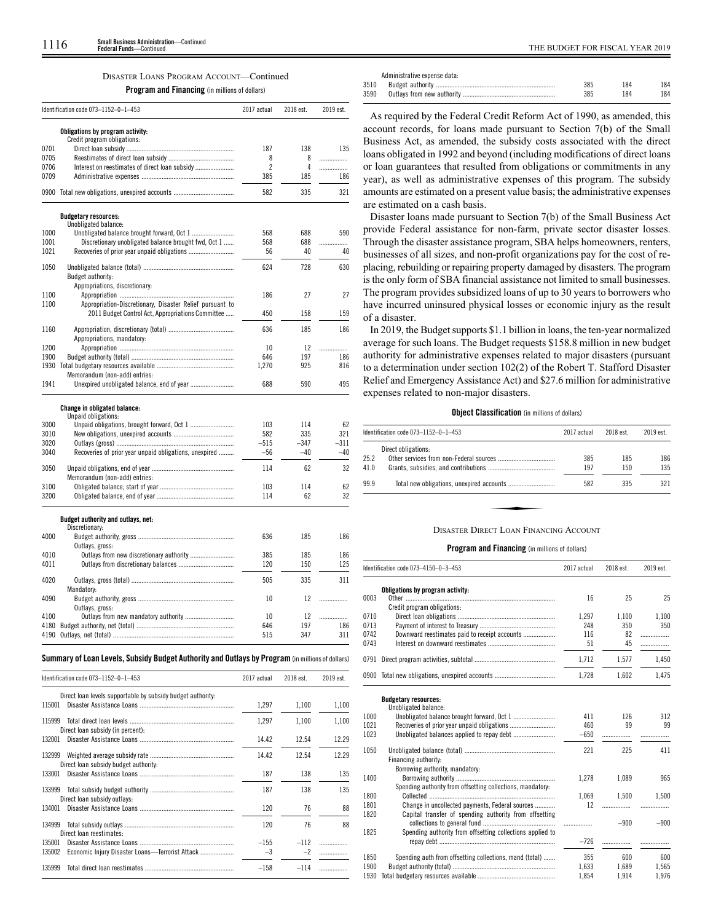### DISASTER LOANS PROGRAM ACCOUNT—Continued

**Program and Financing** (in millions of dollars)

| Obligations by program activity:<br>Credit program obligations:<br>187<br>138<br>8<br>8<br>.<br>$\overline{c}$<br>Interest on reestimates of direct loan subsidy<br>4<br>.<br>0709<br>385<br>185<br>0900<br>582<br>335<br><b>Budgetary resources:</b><br>Unobligated balance:<br>1000<br>568<br>688<br>1001<br>Discretionary unobligated balance brought fwd, Oct 1<br>568<br>688<br>.<br>1021<br>56<br>40<br>624<br>728<br>1050<br>Budget authority:<br>Appropriations, discretionary:<br>1100<br>186<br>27<br>Appropriation-Discretionary, Disaster Relief pursuant to<br>1100<br>2011 Budget Control Act, Appropriations Committee<br>450<br>158<br>636<br>185<br>186<br>1160<br>Appropriations, mandatory:<br>1200<br>10<br>12<br>.<br>1900<br>646<br>197<br>186<br>1930<br>925<br>1,270<br>816<br>Memorandum (non-add) entries:<br>1941<br>Unexpired unobligated balance, end of year<br>688<br>590<br><b>Change in obligated balance:</b><br>Unpaid obligations:<br>3000<br>103<br>114<br>62<br>582<br>335<br>321<br>3010<br>3020<br>$-515$<br>$-347$<br>-311<br>3040<br>Recoveries of prior year unpaid obligations, unexpired<br>$-56$<br>$-40$<br>$-40$<br>62<br>114<br>Memorandum (non-add) entries:<br>3100<br>62<br>103<br>114<br>3200<br>62<br>114<br>Budget authority and outlays, net:<br>Discretionary:<br>636<br>185<br>Outlays, gross:<br>385<br>185<br>120<br>150<br>505<br>335<br>Mandatory:<br>4090<br>10<br>12<br>.<br>Outlays, gross:<br>10<br>12<br>.<br>197<br>646<br>515<br>347<br>Summary of Loan Levels, Subsidy Budget Authority and Outlays by Program (in millions of dollars)<br>Identification code 073-1152-0-1-453<br>2018 est.<br>2019 est.<br>2017 actual |      | Identification code 073-1152-0-1-453 | 2017 actual | 2018 est. | 2019 est. |
|------------------------------------------------------------------------------------------------------------------------------------------------------------------------------------------------------------------------------------------------------------------------------------------------------------------------------------------------------------------------------------------------------------------------------------------------------------------------------------------------------------------------------------------------------------------------------------------------------------------------------------------------------------------------------------------------------------------------------------------------------------------------------------------------------------------------------------------------------------------------------------------------------------------------------------------------------------------------------------------------------------------------------------------------------------------------------------------------------------------------------------------------------------------------------------------------------------------------------------------------------------------------------------------------------------------------------------------------------------------------------------------------------------------------------------------------------------------------------------------------------------------------------------------------------------------------------------------------------------------------------------------------------------------------------------------------|------|--------------------------------------|-------------|-----------|-----------|
|                                                                                                                                                                                                                                                                                                                                                                                                                                                                                                                                                                                                                                                                                                                                                                                                                                                                                                                                                                                                                                                                                                                                                                                                                                                                                                                                                                                                                                                                                                                                                                                                                                                                                                |      |                                      |             |           |           |
|                                                                                                                                                                                                                                                                                                                                                                                                                                                                                                                                                                                                                                                                                                                                                                                                                                                                                                                                                                                                                                                                                                                                                                                                                                                                                                                                                                                                                                                                                                                                                                                                                                                                                                |      |                                      |             |           |           |
|                                                                                                                                                                                                                                                                                                                                                                                                                                                                                                                                                                                                                                                                                                                                                                                                                                                                                                                                                                                                                                                                                                                                                                                                                                                                                                                                                                                                                                                                                                                                                                                                                                                                                                | 0701 |                                      |             |           | 135       |
|                                                                                                                                                                                                                                                                                                                                                                                                                                                                                                                                                                                                                                                                                                                                                                                                                                                                                                                                                                                                                                                                                                                                                                                                                                                                                                                                                                                                                                                                                                                                                                                                                                                                                                | 0705 |                                      |             |           |           |
|                                                                                                                                                                                                                                                                                                                                                                                                                                                                                                                                                                                                                                                                                                                                                                                                                                                                                                                                                                                                                                                                                                                                                                                                                                                                                                                                                                                                                                                                                                                                                                                                                                                                                                | 0706 |                                      |             |           |           |
|                                                                                                                                                                                                                                                                                                                                                                                                                                                                                                                                                                                                                                                                                                                                                                                                                                                                                                                                                                                                                                                                                                                                                                                                                                                                                                                                                                                                                                                                                                                                                                                                                                                                                                |      |                                      |             |           | 186       |
|                                                                                                                                                                                                                                                                                                                                                                                                                                                                                                                                                                                                                                                                                                                                                                                                                                                                                                                                                                                                                                                                                                                                                                                                                                                                                                                                                                                                                                                                                                                                                                                                                                                                                                |      |                                      |             |           | 321       |
|                                                                                                                                                                                                                                                                                                                                                                                                                                                                                                                                                                                                                                                                                                                                                                                                                                                                                                                                                                                                                                                                                                                                                                                                                                                                                                                                                                                                                                                                                                                                                                                                                                                                                                |      |                                      |             |           |           |
|                                                                                                                                                                                                                                                                                                                                                                                                                                                                                                                                                                                                                                                                                                                                                                                                                                                                                                                                                                                                                                                                                                                                                                                                                                                                                                                                                                                                                                                                                                                                                                                                                                                                                                |      |                                      |             |           |           |
|                                                                                                                                                                                                                                                                                                                                                                                                                                                                                                                                                                                                                                                                                                                                                                                                                                                                                                                                                                                                                                                                                                                                                                                                                                                                                                                                                                                                                                                                                                                                                                                                                                                                                                |      |                                      |             |           | 590       |
|                                                                                                                                                                                                                                                                                                                                                                                                                                                                                                                                                                                                                                                                                                                                                                                                                                                                                                                                                                                                                                                                                                                                                                                                                                                                                                                                                                                                                                                                                                                                                                                                                                                                                                |      |                                      |             |           |           |
|                                                                                                                                                                                                                                                                                                                                                                                                                                                                                                                                                                                                                                                                                                                                                                                                                                                                                                                                                                                                                                                                                                                                                                                                                                                                                                                                                                                                                                                                                                                                                                                                                                                                                                |      |                                      |             |           | 40        |
|                                                                                                                                                                                                                                                                                                                                                                                                                                                                                                                                                                                                                                                                                                                                                                                                                                                                                                                                                                                                                                                                                                                                                                                                                                                                                                                                                                                                                                                                                                                                                                                                                                                                                                |      |                                      |             |           |           |
|                                                                                                                                                                                                                                                                                                                                                                                                                                                                                                                                                                                                                                                                                                                                                                                                                                                                                                                                                                                                                                                                                                                                                                                                                                                                                                                                                                                                                                                                                                                                                                                                                                                                                                |      |                                      |             |           | 630       |
|                                                                                                                                                                                                                                                                                                                                                                                                                                                                                                                                                                                                                                                                                                                                                                                                                                                                                                                                                                                                                                                                                                                                                                                                                                                                                                                                                                                                                                                                                                                                                                                                                                                                                                |      |                                      |             |           |           |
|                                                                                                                                                                                                                                                                                                                                                                                                                                                                                                                                                                                                                                                                                                                                                                                                                                                                                                                                                                                                                                                                                                                                                                                                                                                                                                                                                                                                                                                                                                                                                                                                                                                                                                |      |                                      |             |           | 27        |
|                                                                                                                                                                                                                                                                                                                                                                                                                                                                                                                                                                                                                                                                                                                                                                                                                                                                                                                                                                                                                                                                                                                                                                                                                                                                                                                                                                                                                                                                                                                                                                                                                                                                                                |      |                                      |             |           |           |
|                                                                                                                                                                                                                                                                                                                                                                                                                                                                                                                                                                                                                                                                                                                                                                                                                                                                                                                                                                                                                                                                                                                                                                                                                                                                                                                                                                                                                                                                                                                                                                                                                                                                                                |      |                                      |             |           | 159       |
|                                                                                                                                                                                                                                                                                                                                                                                                                                                                                                                                                                                                                                                                                                                                                                                                                                                                                                                                                                                                                                                                                                                                                                                                                                                                                                                                                                                                                                                                                                                                                                                                                                                                                                |      |                                      |             |           |           |
|                                                                                                                                                                                                                                                                                                                                                                                                                                                                                                                                                                                                                                                                                                                                                                                                                                                                                                                                                                                                                                                                                                                                                                                                                                                                                                                                                                                                                                                                                                                                                                                                                                                                                                |      |                                      |             |           |           |
|                                                                                                                                                                                                                                                                                                                                                                                                                                                                                                                                                                                                                                                                                                                                                                                                                                                                                                                                                                                                                                                                                                                                                                                                                                                                                                                                                                                                                                                                                                                                                                                                                                                                                                |      |                                      |             |           |           |
|                                                                                                                                                                                                                                                                                                                                                                                                                                                                                                                                                                                                                                                                                                                                                                                                                                                                                                                                                                                                                                                                                                                                                                                                                                                                                                                                                                                                                                                                                                                                                                                                                                                                                                |      |                                      |             |           |           |
|                                                                                                                                                                                                                                                                                                                                                                                                                                                                                                                                                                                                                                                                                                                                                                                                                                                                                                                                                                                                                                                                                                                                                                                                                                                                                                                                                                                                                                                                                                                                                                                                                                                                                                |      |                                      |             |           |           |
|                                                                                                                                                                                                                                                                                                                                                                                                                                                                                                                                                                                                                                                                                                                                                                                                                                                                                                                                                                                                                                                                                                                                                                                                                                                                                                                                                                                                                                                                                                                                                                                                                                                                                                |      |                                      |             |           |           |
|                                                                                                                                                                                                                                                                                                                                                                                                                                                                                                                                                                                                                                                                                                                                                                                                                                                                                                                                                                                                                                                                                                                                                                                                                                                                                                                                                                                                                                                                                                                                                                                                                                                                                                |      |                                      |             |           | 495       |
|                                                                                                                                                                                                                                                                                                                                                                                                                                                                                                                                                                                                                                                                                                                                                                                                                                                                                                                                                                                                                                                                                                                                                                                                                                                                                                                                                                                                                                                                                                                                                                                                                                                                                                |      |                                      |             |           |           |
|                                                                                                                                                                                                                                                                                                                                                                                                                                                                                                                                                                                                                                                                                                                                                                                                                                                                                                                                                                                                                                                                                                                                                                                                                                                                                                                                                                                                                                                                                                                                                                                                                                                                                                |      |                                      |             |           |           |
|                                                                                                                                                                                                                                                                                                                                                                                                                                                                                                                                                                                                                                                                                                                                                                                                                                                                                                                                                                                                                                                                                                                                                                                                                                                                                                                                                                                                                                                                                                                                                                                                                                                                                                |      |                                      |             |           |           |
|                                                                                                                                                                                                                                                                                                                                                                                                                                                                                                                                                                                                                                                                                                                                                                                                                                                                                                                                                                                                                                                                                                                                                                                                                                                                                                                                                                                                                                                                                                                                                                                                                                                                                                |      |                                      |             |           |           |
|                                                                                                                                                                                                                                                                                                                                                                                                                                                                                                                                                                                                                                                                                                                                                                                                                                                                                                                                                                                                                                                                                                                                                                                                                                                                                                                                                                                                                                                                                                                                                                                                                                                                                                |      |                                      |             |           |           |
|                                                                                                                                                                                                                                                                                                                                                                                                                                                                                                                                                                                                                                                                                                                                                                                                                                                                                                                                                                                                                                                                                                                                                                                                                                                                                                                                                                                                                                                                                                                                                                                                                                                                                                |      |                                      |             |           |           |
|                                                                                                                                                                                                                                                                                                                                                                                                                                                                                                                                                                                                                                                                                                                                                                                                                                                                                                                                                                                                                                                                                                                                                                                                                                                                                                                                                                                                                                                                                                                                                                                                                                                                                                | 3050 |                                      |             |           | 32        |
|                                                                                                                                                                                                                                                                                                                                                                                                                                                                                                                                                                                                                                                                                                                                                                                                                                                                                                                                                                                                                                                                                                                                                                                                                                                                                                                                                                                                                                                                                                                                                                                                                                                                                                |      |                                      |             |           |           |
|                                                                                                                                                                                                                                                                                                                                                                                                                                                                                                                                                                                                                                                                                                                                                                                                                                                                                                                                                                                                                                                                                                                                                                                                                                                                                                                                                                                                                                                                                                                                                                                                                                                                                                |      |                                      |             |           |           |
|                                                                                                                                                                                                                                                                                                                                                                                                                                                                                                                                                                                                                                                                                                                                                                                                                                                                                                                                                                                                                                                                                                                                                                                                                                                                                                                                                                                                                                                                                                                                                                                                                                                                                                |      |                                      |             |           | 32        |
|                                                                                                                                                                                                                                                                                                                                                                                                                                                                                                                                                                                                                                                                                                                                                                                                                                                                                                                                                                                                                                                                                                                                                                                                                                                                                                                                                                                                                                                                                                                                                                                                                                                                                                |      |                                      |             |           |           |
|                                                                                                                                                                                                                                                                                                                                                                                                                                                                                                                                                                                                                                                                                                                                                                                                                                                                                                                                                                                                                                                                                                                                                                                                                                                                                                                                                                                                                                                                                                                                                                                                                                                                                                | 4000 |                                      |             |           | 186       |
|                                                                                                                                                                                                                                                                                                                                                                                                                                                                                                                                                                                                                                                                                                                                                                                                                                                                                                                                                                                                                                                                                                                                                                                                                                                                                                                                                                                                                                                                                                                                                                                                                                                                                                |      |                                      |             |           |           |
|                                                                                                                                                                                                                                                                                                                                                                                                                                                                                                                                                                                                                                                                                                                                                                                                                                                                                                                                                                                                                                                                                                                                                                                                                                                                                                                                                                                                                                                                                                                                                                                                                                                                                                | 4010 |                                      |             |           | 186       |
|                                                                                                                                                                                                                                                                                                                                                                                                                                                                                                                                                                                                                                                                                                                                                                                                                                                                                                                                                                                                                                                                                                                                                                                                                                                                                                                                                                                                                                                                                                                                                                                                                                                                                                | 4011 |                                      |             |           | 125       |
|                                                                                                                                                                                                                                                                                                                                                                                                                                                                                                                                                                                                                                                                                                                                                                                                                                                                                                                                                                                                                                                                                                                                                                                                                                                                                                                                                                                                                                                                                                                                                                                                                                                                                                | 4020 |                                      |             |           | 311       |
|                                                                                                                                                                                                                                                                                                                                                                                                                                                                                                                                                                                                                                                                                                                                                                                                                                                                                                                                                                                                                                                                                                                                                                                                                                                                                                                                                                                                                                                                                                                                                                                                                                                                                                |      |                                      |             |           |           |
|                                                                                                                                                                                                                                                                                                                                                                                                                                                                                                                                                                                                                                                                                                                                                                                                                                                                                                                                                                                                                                                                                                                                                                                                                                                                                                                                                                                                                                                                                                                                                                                                                                                                                                |      |                                      |             |           |           |
|                                                                                                                                                                                                                                                                                                                                                                                                                                                                                                                                                                                                                                                                                                                                                                                                                                                                                                                                                                                                                                                                                                                                                                                                                                                                                                                                                                                                                                                                                                                                                                                                                                                                                                | 4100 |                                      |             |           |           |
|                                                                                                                                                                                                                                                                                                                                                                                                                                                                                                                                                                                                                                                                                                                                                                                                                                                                                                                                                                                                                                                                                                                                                                                                                                                                                                                                                                                                                                                                                                                                                                                                                                                                                                | 4180 |                                      |             |           | 186       |
|                                                                                                                                                                                                                                                                                                                                                                                                                                                                                                                                                                                                                                                                                                                                                                                                                                                                                                                                                                                                                                                                                                                                                                                                                                                                                                                                                                                                                                                                                                                                                                                                                                                                                                | 4190 |                                      |             |           | 311       |
|                                                                                                                                                                                                                                                                                                                                                                                                                                                                                                                                                                                                                                                                                                                                                                                                                                                                                                                                                                                                                                                                                                                                                                                                                                                                                                                                                                                                                                                                                                                                                                                                                                                                                                |      |                                      |             |           |           |
|                                                                                                                                                                                                                                                                                                                                                                                                                                                                                                                                                                                                                                                                                                                                                                                                                                                                                                                                                                                                                                                                                                                                                                                                                                                                                                                                                                                                                                                                                                                                                                                                                                                                                                |      |                                      |             |           |           |
|                                                                                                                                                                                                                                                                                                                                                                                                                                                                                                                                                                                                                                                                                                                                                                                                                                                                                                                                                                                                                                                                                                                                                                                                                                                                                                                                                                                                                                                                                                                                                                                                                                                                                                |      |                                      |             |           |           |

| Direct loan levels supportable by subsidy budget authority.         |                |                |       |
|---------------------------------------------------------------------|----------------|----------------|-------|
| 115001                                                              | 1.297          | 1.100          | 1,100 |
| 115999<br>Direct loan subsidy (in percent):                         | 1.297          | 1.100          | 1.100 |
| 132001                                                              | 14.42          | 12.54          | 12.29 |
| 132999<br>Direct loan subsidy budget authority:                     | 14.42          | 12.54          | 12.29 |
| 133001                                                              | 187            | 138            | 135   |
| 133999<br>Direct loan subsidy outlays:                              | 187            | 138            | 135   |
| 134001                                                              | 120            | 76             | 88    |
| 134999<br>Direct loan reestimates:                                  | 120            | 76             | 88    |
| 135001<br>135002<br>Economic Injury Disaster Loans-Terrorist Attack | $-155$<br>$-3$ | $-112$<br>$-2$ |       |
| 135999                                                              | $-158$         | $-114$         |       |

 $\mathbf{1}$ 

 $\overline{1}$ 

|      | Administrative expense data: |     |     |     |
|------|------------------------------|-----|-----|-----|
| 3510 |                              | 385 | 184 | 184 |
| 3590 |                              | 385 | 184 | 184 |

As required by the Federal Credit Reform Act of 1990, as amended, this account records, for loans made pursuant to Section 7(b) of the Small Business Act, as amended, the subsidy costs associated with the direct loans obligated in 1992 and beyond (including modifications of direct loans or loan guarantees that resulted from obligations or commitments in any year), as well as administrative expenses of this program. The subsidy amounts are estimated on a present value basis; the administrative expenses are estimated on a cash basis.

Disaster loans made pursuant to Section 7(b) of the Small Business Act provide Federal assistance for non-farm, private sector disaster losses. Through the disaster assistance program, SBA helps homeowners, renters, businesses of all sizes, and non-profit organizations pay for the cost of replacing, rebuilding or repairing property damaged by disasters. The program is the only form of SBA financial assistance not limited to small businesses. The program provides subsidized loans of up to 30 years to borrowers who have incurred uninsured physical losses or economic injury as the result of a disaster.

In 2019, the Budget supports \$1.1 billion in loans, the ten-year normalized average for such loans. The Budget requests \$158.8 million in new budget authority for administrative expenses related to major disasters (pursuant to a determination under section 102(2) of the Robert T. Stafford Disaster Relief and Emergency Assistance Act) and \$27.6 million for administrative expenses related to non-major disasters.

### **Object Classification** (in millions of dollars)

| ldentification code 073–1152–0–1–453 |                                               | 2017 actual | 2018 est. | 2019 est. |
|--------------------------------------|-----------------------------------------------|-------------|-----------|-----------|
|                                      | Direct obligations:                           |             |           |           |
| 25.2                                 |                                               | 385         | 185       | 186       |
| 41.0                                 |                                               | 197         | 150       | 135       |
| 99.9                                 |                                               | 582         | 335       | 321       |
|                                      |                                               |             |           |           |
|                                      | <b>DISASTER DIRECT LOAN FINANCING ACCOUNT</b> |             |           |           |

### **Program and Financing** (in millions of dollars)

|      | Identification code 073-4150-0-3-453                       | 2017 actual | 2018 est. | 2019 est. |
|------|------------------------------------------------------------|-------------|-----------|-----------|
|      | Obligations by program activity:                           |             |           |           |
| 0003 |                                                            | 16          | 25        | 25        |
|      | Credit program obligations:                                |             |           |           |
| 0710 |                                                            | 1,297       | 1,100     | 1,100     |
| 0713 |                                                            | 248         | 350       | 350       |
| 0742 | Downward reestimates paid to receipt accounts              | 116         | 82        | .         |
| 0743 |                                                            | 51          | 45        | .         |
| 0791 |                                                            | 1,712       | 1,577     | 1,450     |
|      | 0900 Total new obligations, unexpired accounts             | 1,728       | 1,602     | 1,475     |
|      | <b>Budgetary resources:</b>                                |             |           |           |
|      | Unobligated balance:                                       |             |           |           |
| 1000 |                                                            | 411         | 126       | 312       |
| 1021 |                                                            | 460         | 99        | 99        |
| 1023 |                                                            | $-650$      |           |           |
| 1050 |                                                            | 221         | 225       | 411       |
|      | Financing authority:                                       |             |           |           |
|      | Borrowing authority, mandatory:                            |             |           |           |
| 1400 |                                                            | 1.278       | 1,089     | 965       |
|      | Spending authority from offsetting collections, mandatory: |             |           |           |
| 1800 |                                                            | 1.069       | 1.500     | 1,500     |
| 1801 | Change in uncollected payments, Federal sources            | 12          | .         |           |
| 1820 | Capital transfer of spending authority from offsetting     |             |           |           |
|      |                                                            | .           | $-900$    | $-900$    |
| 1825 | Spending authority from offsetting collections applied to  |             |           |           |
|      |                                                            | $-726$      |           |           |
| 1850 | Spending auth from offsetting collections, mand (total)    | 355         | 600       | 600       |
| 1900 |                                                            | 1,633       | 1,689     | 1,565     |
| 1930 |                                                            | 1,854       | 1,914     | 1,976     |
|      |                                                            |             |           |           |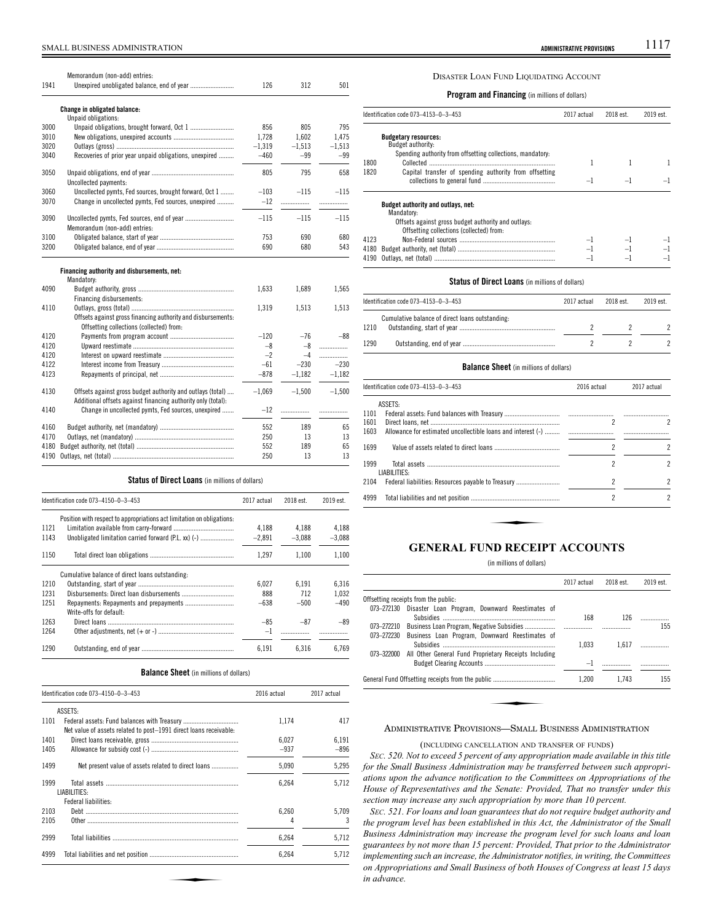# SMALL BUSINESS ADMINISTRATION **ADMINISTRATIVE PROVISIONS** 1117

| 1941 | Memorandum (non-add) entries:                                                                                              | 126      | 312      | 501      |
|------|----------------------------------------------------------------------------------------------------------------------------|----------|----------|----------|
|      | Change in obligated balance:<br>Unpaid obligations:                                                                        |          |          |          |
| 3000 |                                                                                                                            | 856      | 805      | 795      |
| 3010 |                                                                                                                            | 1.728    | 1.602    | 1,475    |
| 3020 |                                                                                                                            | $-1,319$ | $-1,513$ | $-1,513$ |
| 3040 | Recoveries of prior year unpaid obligations, unexpired                                                                     | $-460$   | $-99$    | $-99$    |
| 3050 | Uncollected payments:                                                                                                      | 805      | 795      | 658      |
| 3060 | Uncollected pymts, Fed sources, brought forward, Oct 1                                                                     | $-103$   | $-115$   | $-115$   |
| 3070 | Change in uncollected pymts, Fed sources, unexpired                                                                        | $-12$    | .        | .        |
| 3090 | Memorandum (non-add) entries:                                                                                              | $-115$   | $-115$   | $-115$   |
| 3100 |                                                                                                                            | 753      | 690      | 680      |
| 3200 |                                                                                                                            | 690      | 680      | 543      |
|      | Financing authority and disbursements, net:<br>Mandatory:                                                                  |          |          |          |
| 4090 |                                                                                                                            | 1,633    | 1,689    | 1,565    |
|      | Financing disbursements:                                                                                                   |          |          |          |
| 4110 |                                                                                                                            | 1,319    | 1,513    | 1,513    |
|      | Offsets against gross financing authority and disbursements:<br>Offsetting collections (collected) from:                   |          |          |          |
| 4120 |                                                                                                                            | $-120$   | $-76$    | $-88$    |
| 4120 |                                                                                                                            | $-8$     | -8       | .        |
| 4120 |                                                                                                                            | $-2$     | $-4$     | .        |
| 4122 |                                                                                                                            | $-61$    | $-230$   | $-230$   |
| 4123 |                                                                                                                            | $-878$   | $-1.182$ | $-1.182$ |
| 4130 | Offsets against gross budget authority and outlays (total)<br>Additional offsets against financing authority only (total): | $-1.069$ | $-1,500$ | $-1.500$ |
| 4140 | Change in uncollected pymts, Fed sources, unexpired                                                                        | $-12$    | .        | .        |
| 4160 |                                                                                                                            | 552      | 189      | 65       |
| 4170 |                                                                                                                            | 250      | 13       | 13       |
| 4180 |                                                                                                                            | 552      | 189      | 65       |
| 4190 |                                                                                                                            | 250      | 13       | 13       |

### **Status of Direct Loans** (in millions of dollars)

| Identification code 073-4150-0-3-453 |                                                                        | 2017 actual | 2018 est. | 2019 est. |  |
|--------------------------------------|------------------------------------------------------------------------|-------------|-----------|-----------|--|
|                                      | Position with respect to appropriations act limitation on obligations. |             |           |           |  |
| 1121                                 |                                                                        | 4.188       | 4.188     | 4.188     |  |
| 1143                                 | Unobligated limitation carried forward (P.L. xx) (-)                   | $-2.891$    | $-3.088$  | $-3,088$  |  |
| 1150                                 |                                                                        | 1.297       | 1.100     | 1.100     |  |
|                                      | Cumulative balance of direct loans outstanding:                        |             |           |           |  |
| 1210                                 |                                                                        | 6.027       | 6.191     | 6,316     |  |
| 1231                                 |                                                                        | 888         | 712       | 1.032     |  |
| 1251                                 | Write-offs for default:                                                | $-638$      | $-500$    | $-490$    |  |
| 1263                                 |                                                                        | $-85$       | $-87$     | $-89$     |  |
| 1264                                 |                                                                        | $-1$        |           |           |  |
| 1290                                 |                                                                        | 6,191       | 6.316     | 6.769     |  |

### **Balance Sheet** (in millions of dollars)

| Identification code 073-4150-0-3-453 |                                                                   | 2016 actual | 2017 actual |
|--------------------------------------|-------------------------------------------------------------------|-------------|-------------|
|                                      | ASSETS:                                                           |             |             |
| 1101                                 | Net value of assets related to post-1991 direct loans receivable: | 1.174       | 417         |
| 1401                                 |                                                                   | 6.027       | 6,191       |
| 1405                                 |                                                                   | $-937$      | $-896$      |
| 1499                                 | Net present value of assets related to direct loans               | 5,090       | 5,295       |
| 1999                                 | LIABILITIES:                                                      | 6.264       | 5.712       |
| 2103                                 | Federal liabilities:                                              | 6.260       | 5,709       |
| 2105                                 |                                                                   | 4           | 3           |
| 2999                                 |                                                                   | 6,264       | 5,712       |
| 4999                                 |                                                                   | 6,264       | 5.712       |

# DISASTER LOAN FUND LIQUIDATING ACCOUNT

**Program and Financing** (in millions of dollars)

|      | Identification code 073-4153-0-3-453<br>2017 actual                                             |    | 2018 est. | 2019 est. |
|------|-------------------------------------------------------------------------------------------------|----|-----------|-----------|
|      | <b>Budgetary resources:</b><br>Budget authority:                                                |    |           |           |
| 1800 | Spending authority from offsetting collections, mandatory:                                      |    |           |           |
| 1820 | Capital transfer of spending authority from offsetting                                          | -1 | ᅴ         |           |
|      | Budget authority and outlays, net:<br>Mandatory:                                                |    |           |           |
|      | Offsets against gross budget authority and outlays:<br>Offsetting collections (collected) from: |    |           |           |
| 4123 |                                                                                                 |    |           |           |
| 4180 |                                                                                                 |    |           |           |
| 4190 |                                                                                                 | -1 |           |           |

### **Status of Direct Loans** (in millions of dollars)

|      | Identification code 073-4153-0-3-453            | 2017 actual | 2018 est. | 2019 est. |
|------|-------------------------------------------------|-------------|-----------|-----------|
| 1210 | Cumulative balance of direct loans outstanding: |             |           |           |
| 1290 |                                                 |             |           |           |

### **Balance Sheet** (in millions of dollars)

|              | Identification code 073–4153–0–3–453                         | 2016 actual              | 2017 actual              |
|--------------|--------------------------------------------------------------|--------------------------|--------------------------|
|              | ASSETS:                                                      |                          |                          |
| 1101<br>1601 |                                                              | 2                        | 2                        |
| 1603         | Allowance for estimated uncollectible loans and interest (-) |                          | .                        |
| 1699         |                                                              | 2                        | 2                        |
| 1999         | LIABILITIES:                                                 | 2                        | $\overline{\phantom{a}}$ |
| 2104         |                                                              | $\overline{\phantom{a}}$ | 2                        |
| 4999         |                                                              | 2                        | $\overline{\phantom{a}}$ |
|              |                                                              |                          |                          |
|              |                                                              |                          |                          |
|              | FURIR REARING                                                | <b>CONTINUES</b>         |                          |

# **GENERAL FUND RECEIPT ACCOUNTS**

### (in millions of dollars)

|            |                                                                                                              | 2017 actual | 2018 est. | 2019 est. |
|------------|--------------------------------------------------------------------------------------------------------------|-------------|-----------|-----------|
|            | Offsetting receipts from the public:                                                                         |             |           |           |
| 073-272130 | Disaster Loan Program, Downward Reestimates of                                                               | 168         | 126       |           |
| 073-272210 | Business Loan Program, Negative Subsidies                                                                    |             | .         | 155       |
| 073-272230 | Business Loan Program, Downward Reestimates of                                                               | 1.033       | 1.617     | .         |
| 073-322000 | All Other General Fund Proprietary Receipts Including                                                        | $-1$        |           |           |
|            |                                                                                                              | 1.200       | 1.743     | 155       |
|            |                                                                                                              |             |           |           |
|            | $\mathbf{A}$ is the contract of $\mathbf{A}$ is the contract of $\mathbf{A}$ is the contract of $\mathbf{A}$ |             |           |           |

## ADMINISTRATIVE PROVISIONS—SMALL BUSINESS ADMINISTRATION

(INCLUDING CANCELLATION AND TRANSFER OF FUNDS)

*SEC. 520. Not to exceed 5 percent of any appropriation made available in this title for the Small Business Administration may be transferred between such appropriations upon the advance notification to the Committees on Appropriations of the House of Representatives and the Senate: Provided, That no transfer under this section may increase any such appropriation by more than 10 percent.*

*SEC. 521. For loans and loan guarantees that do not require budget authority and the program level has been established in this Act, the Administrator of the Small Business Administration may increase the program level for such loans and loan guarantees by not more than 15 percent: Provided, That prior to the Administrator implementing such an increase, the Administrator notifies, in writing, the Committees on Appropriations and Small Business of both Houses of Congress at least 15 days in advance.*